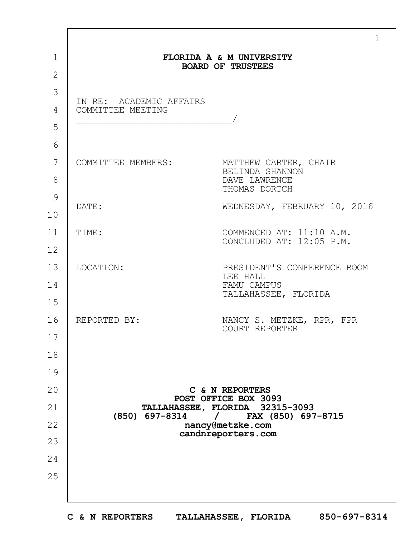|                                              | $\mathbf{1}$                                            |
|----------------------------------------------|---------------------------------------------------------|
|                                              | FLORIDA A & M UNIVERSITY<br><b>BOARD OF TRUSTEES</b>    |
|                                              |                                                         |
| IN RE: ACADEMIC AFFAIRS<br>COMMITTEE MEETING |                                                         |
|                                              |                                                         |
| COMMITTEE MEMBERS:                           | MATTHEW CARTER, CHAIR                                   |
|                                              | BELINDA SHANNON<br>DAVE LAWRENCE<br>THOMAS DORTCH       |
| DATE:                                        | WEDNESDAY, FEBRUARY 10, 2016                            |
| TIME:                                        | COMMENCED AT: 11:10 A.M.<br>CONCLUDED AT: 12:05 P.M.    |
|                                              |                                                         |
| LOCATION:                                    | PRESIDENT'S CONFERENCE ROOM<br>LEE HALL                 |
|                                              | FAMU CAMPUS<br>TALLAHASSEE, FLORIDA                     |
| REPORTED BY:                                 | NANCY S. METZKE, RPR, FPR                               |
|                                              | COURT REPORTER                                          |
|                                              |                                                         |
|                                              |                                                         |
|                                              | C & N REPORTERS                                         |
|                                              | POST OFFICE BOX 3093<br>TALLAHASSEE, FLORIDA 32315-3093 |
| (850) 697-8314                               | / FAX (850) 697-8715<br>nancy@metzke.com                |
|                                              | candnreporters.com                                      |
|                                              |                                                         |
|                                              |                                                         |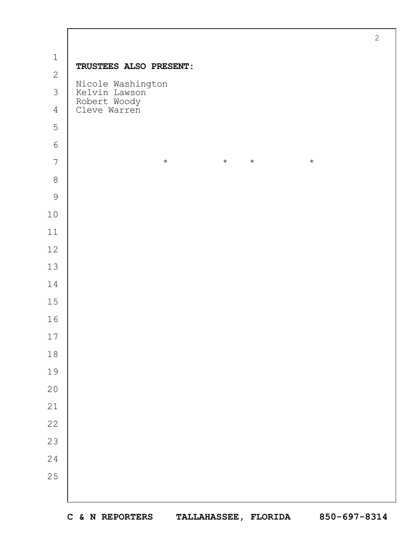|                |                                          | $\sqrt{2}$ |
|----------------|------------------------------------------|------------|
| $\mathbf 1$    | TRUSTEES ALSO PRESENT:                   |            |
| $\mathbf{2}$   |                                          |            |
| $\mathfrak{Z}$ | Nicole Washington<br>Kelvin Lawson       |            |
| $\overline{4}$ | Robert Woody<br>Cleve Warren             |            |
| 5              |                                          |            |
| $\sqrt{6}$     |                                          |            |
| $\overline{7}$ | $\star$<br>$\star$<br>$\star$<br>$\star$ |            |
| $\,8\,$        |                                          |            |
| $\mathcal{G}$  |                                          |            |
| $10$           |                                          |            |
| $11$           |                                          |            |
| $12$           |                                          |            |
| 13             |                                          |            |
| 14             |                                          |            |
| $15$           |                                          |            |
| 16             |                                          |            |
| 17             |                                          |            |
| $1\,8$         |                                          |            |
| 19             |                                          |            |
| $20$           |                                          |            |
| $21$           |                                          |            |
| 22             |                                          |            |
| 23             |                                          |            |
| 24             |                                          |            |
| 25             |                                          |            |
|                |                                          |            |
|                |                                          |            |

 $\Gamma$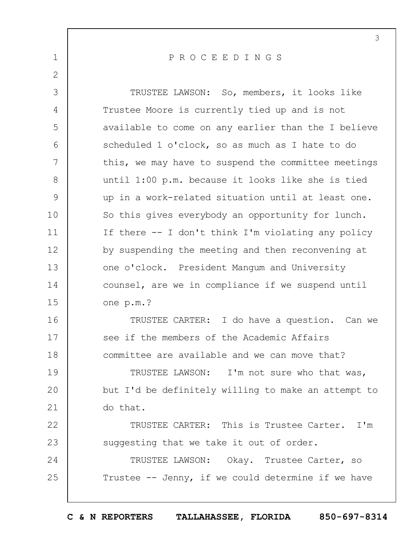1 2 3 4 5 6 7 8 9 10 11 12 13 14 15 16 17 18 19  $20$ 21 22 23 24 25 P R O C E E D I N G S TRUSTEE LAWSON: So, members, it looks like Trustee Moore is currently tied up and is not available to come on any earlier than the I believe scheduled 1 o'clock, so as much as I hate to do this, we may have to suspend the committee meetings until 1:00 p.m. because it looks like she is tied up in a work-related situation until at least one. So this gives everybody an opportunity for lunch. If there -- I don't think I'm violating any policy by suspending the meeting and then reconvening at one o'clock. President Mangum and University counsel, are we in compliance if we suspend until one p.m.? TRUSTEE CARTER: I do have a question. Can we see if the members of the Academic Affairs committee are available and we can move that? TRUSTEE LAWSON: I'm not sure who that was, but I'd be definitely willing to make an attempt to do that. TRUSTEE CARTER: This is Trustee Carter. I'm suggesting that we take it out of order. TRUSTEE LAWSON: Okay. Trustee Carter, so Trustee -- Jenny, if we could determine if we have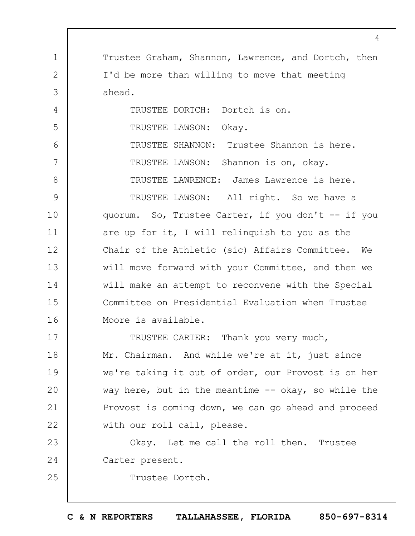1 2 3 4 5 6 7 8 9 10 11 12 13 14 15 16 17 18 19  $20$ 21 22 23 24 25 Trustee Graham, Shannon, Lawrence, and Dortch, then I'd be more than willing to move that meeting ahead. TRUSTEE DORTCH: Dortch is on. TRUSTEE LAWSON: Okay. TRUSTEE SHANNON: Trustee Shannon is here. TRUSTEE LAWSON: Shannon is on, okay. TRUSTEE LAWRENCE: James Lawrence is here. TRUSTEE LAWSON: All right. So we have a quorum. So, Trustee Carter, if you don't -- if you are up for it, I will relinquish to you as the Chair of the Athletic (sic) Affairs Committee. We will move forward with your Committee, and then we will make an attempt to reconvene with the Special Committee on Presidential Evaluation when Trustee Moore is available. TRUSTEE CARTER: Thank you very much, Mr. Chairman. And while we're at it, just since we're taking it out of order, our Provost is on her way here, but in the meantime  $-$  okay, so while the Provost is coming down, we can go ahead and proceed with our roll call, please. Okay. Let me call the roll then. Trustee Carter present. Trustee Dortch.

 $\Delta$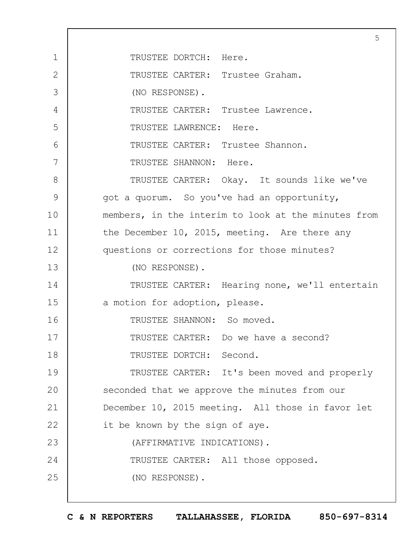1 2 3 4 5 6 7 8 9 10 11 12 13 14 15 16 17 18 19  $20$ 21 22 23 24 25 5 TRUSTEE DORTCH: Here. TRUSTEE CARTER: Trustee Graham. (NO RESPONSE). TRUSTEE CARTER: Trustee Lawrence. TRUSTEE LAWRENCE: Here. TRUSTEE CARTER: Trustee Shannon. TRUSTEE SHANNON: Here. TRUSTEE CARTER: Okay. It sounds like we've got a quorum. So you've had an opportunity, members, in the interim to look at the minutes from the December 10, 2015, meeting. Are there any questions or corrections for those minutes? (NO RESPONSE). TRUSTEE CARTER: Hearing none, we'll entertain a motion for adoption, please. TRUSTEE SHANNON: So moved. TRUSTEE CARTER: Do we have a second? TRUSTEE DORTCH: Second. TRUSTEE CARTER: It's been moved and properly seconded that we approve the minutes from our December 10, 2015 meeting. All those in favor let it be known by the sign of aye. (AFFIRMATIVE INDICATIONS). TRUSTEE CARTER: All those opposed. (NO RESPONSE).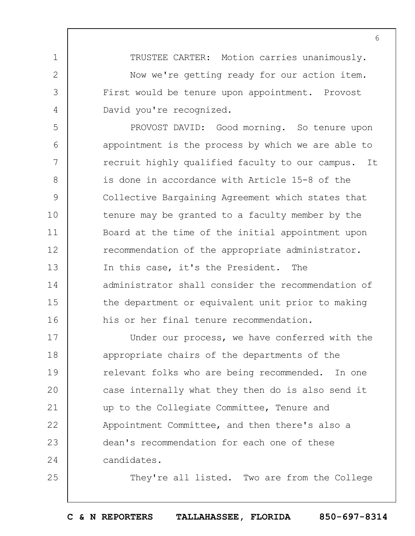TRUSTEE CARTER: Motion carries unanimously. Now we're getting ready for our action item. First would be tenure upon appointment. Provost David you're recognized.

1

2

3

4

25

5 6 7 8 9 10 11 12 13 14 15 16 PROVOST DAVID: Good morning. So tenure upon appointment is the process by which we are able to recruit highly qualified faculty to our campus. It is done in accordance with Article 15-8 of the Collective Bargaining Agreement which states that tenure may be granted to a faculty member by the Board at the time of the initial appointment upon recommendation of the appropriate administrator. In this case, it's the President. The administrator shall consider the recommendation of the department or equivalent unit prior to making his or her final tenure recommendation.

17 18 19  $20$ 21 22 23 24 Under our process, we have conferred with the appropriate chairs of the departments of the relevant folks who are being recommended. In one case internally what they then do is also send it up to the Collegiate Committee, Tenure and Appointment Committee, and then there's also a dean's recommendation for each one of these candidates.

They're all listed. Two are from the College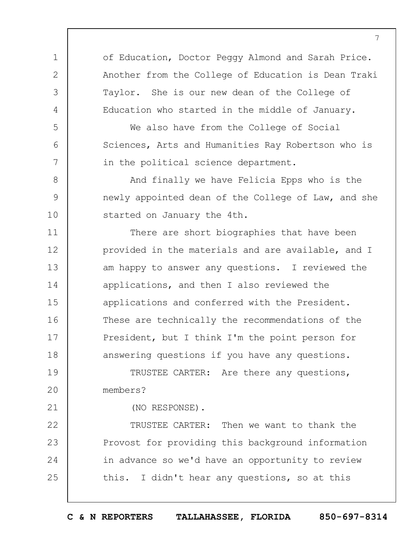of Education, Doctor Peggy Almond and Sarah Price. Another from the College of Education is Dean Traki Taylor. She is our new dean of the College of Education who started in the middle of January.

We also have from the College of Social Sciences, Arts and Humanities Ray Robertson who is in the political science department.

And finally we have Felicia Epps who is the newly appointed dean of the College of Law, and she started on January the 4th.

11 12 13 14 15 16 17 18 There are short biographies that have been provided in the materials and are available, and I am happy to answer any questions. I reviewed the applications, and then I also reviewed the applications and conferred with the President. These are technically the recommendations of the President, but I think I'm the point person for answering questions if you have any questions.

19  $20$ TRUSTEE CARTER: Are there any questions, members?

(NO RESPONSE).

1

2

3

4

5

6

7

8

9

10

21

22 23 24 25 TRUSTEE CARTER: Then we want to thank the Provost for providing this background information in advance so we'd have an opportunity to review this. I didn't hear any questions, so at this

**C & N REPORTERS TALLAHASSEE, FLORIDA 850-697-8314**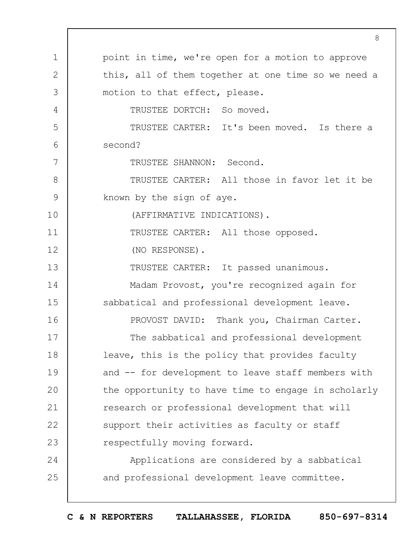|               | 8                                                   |
|---------------|-----------------------------------------------------|
| $\mathbf 1$   | point in time, we're open for a motion to approve   |
| $\mathbf{2}$  | this, all of them together at one time so we need a |
| 3             | motion to that effect, please.                      |
| 4             | TRUSTEE DORTCH: So moved.                           |
| 5             | TRUSTEE CARTER: It's been moved. Is there a         |
| 6             | second?                                             |
| 7             | TRUSTEE SHANNON: Second.                            |
| $8\,$         | TRUSTEE CARTER: All those in favor let it be        |
| $\mathcal{G}$ | known by the sign of aye.                           |
| 10            | (AFFIRMATIVE INDICATIONS).                          |
| 11            | TRUSTEE CARTER: All those opposed.                  |
| 12            | (NO RESPONSE).                                      |
| 13            | TRUSTEE CARTER: It passed unanimous.                |
| 14            | Madam Provost, you're recognized again for          |
| 15            | sabbatical and professional development leave.      |
| 16            | PROVOST DAVID: Thank you, Chairman Carter.          |
| 17            | The sabbatical and professional development         |
| 18            | leave, this is the policy that provides faculty     |
| 19            | and -- for development to leave staff members with  |
| 20            | the opportunity to have time to engage in scholarly |
| 21            | research or professional development that will      |
| 22            | support their activities as faculty or staff        |
| 23            | respectfully moving forward.                        |
| 24            | Applications are considered by a sabbatical         |
| 25            | and professional development leave committee.       |
|               |                                                     |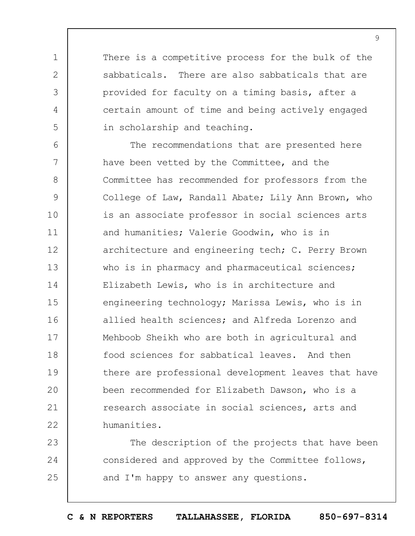There is a competitive process for the bulk of the sabbaticals. There are also sabbaticals that are provided for faculty on a timing basis, after a certain amount of time and being actively engaged in scholarship and teaching.

1

2

3

4

5

6 7 8 9 10 11 12 13 14 15 16 17 18 19  $20$ 21 22 The recommendations that are presented here have been vetted by the Committee, and the Committee has recommended for professors from the College of Law, Randall Abate; Lily Ann Brown, who is an associate professor in social sciences arts and humanities; Valerie Goodwin, who is in architecture and engineering tech; C. Perry Brown who is in pharmacy and pharmaceutical sciences; Elizabeth Lewis, who is in architecture and engineering technology; Marissa Lewis, who is in allied health sciences; and Alfreda Lorenzo and Mehboob Sheikh who are both in agricultural and food sciences for sabbatical leaves. And then there are professional development leaves that have been recommended for Elizabeth Dawson, who is a research associate in social sciences, arts and humanities.

23 24 25 The description of the projects that have been considered and approved by the Committee follows, and I'm happy to answer any questions.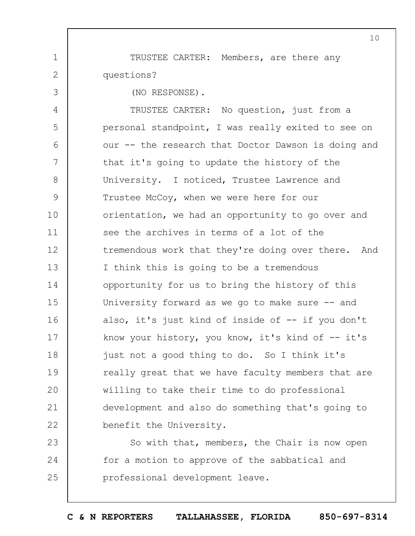TRUSTEE CARTER: Members, are there any questions?

(NO RESPONSE).

1

2

3

4 5 6 7 8 9 10 11 12 13 14 15 16 17 18 19  $20$ 21 22 TRUSTEE CARTER: No question, just from a personal standpoint, I was really exited to see on our -- the research that Doctor Dawson is doing and that it's going to update the history of the University. I noticed, Trustee Lawrence and Trustee McCoy, when we were here for our orientation, we had an opportunity to go over and see the archives in terms of a lot of the tremendous work that they're doing over there. And I think this is going to be a tremendous opportunity for us to bring the history of this University forward as we go to make sure -- and also, it's just kind of inside of -- if you don't know your history, you know, it's kind of  $-$  it's just not a good thing to do. So I think it's really great that we have faculty members that are willing to take their time to do professional development and also do something that's going to benefit the University.

23 24 25 So with that, members, the Chair is now open for a motion to approve of the sabbatical and professional development leave.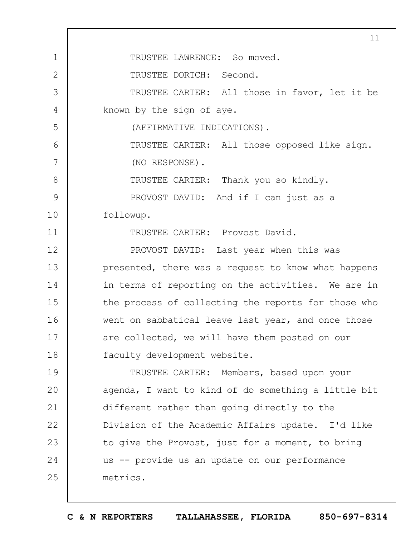1 2 3 4 5 6 7 8 9 10 11 12 13 14 15 16 17 18 19  $20$ 21 22 23 24 25 11 TRUSTEE LAWRENCE: So moved. TRUSTEE DORTCH: Second. TRUSTEE CARTER: All those in favor, let it be known by the sign of aye. (AFFIRMATIVE INDICATIONS). TRUSTEE CARTER: All those opposed like sign. (NO RESPONSE). TRUSTEE CARTER: Thank you so kindly. PROVOST DAVID: And if I can just as a followup. TRUSTEE CARTER: Provost David. PROVOST DAVID: Last year when this was presented, there was a request to know what happens in terms of reporting on the activities. We are in the process of collecting the reports for those who went on sabbatical leave last year, and once those are collected, we will have them posted on our faculty development website. TRUSTEE CARTER: Members, based upon your agenda, I want to kind of do something a little bit different rather than going directly to the Division of the Academic Affairs update. I'd like to give the Provost, just for a moment, to bring us -- provide us an update on our performance metrics.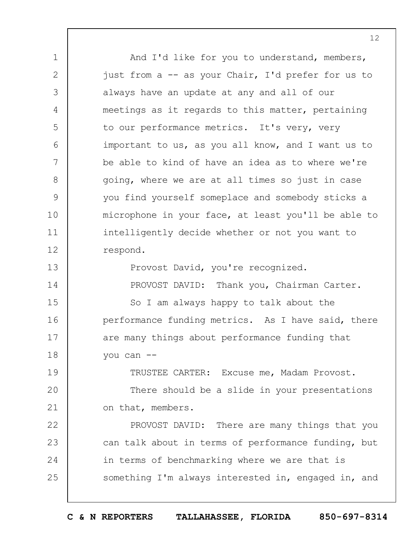1 2 3 4 5 6 7 8 9 10 11 12 13 14 15 16 17 18 19  $20$ 21 22 23 24 25 And I'd like for you to understand, members, just from a -- as your Chair, I'd prefer for us to always have an update at any and all of our meetings as it regards to this matter, pertaining to our performance metrics. It's very, very important to us, as you all know, and I want us to be able to kind of have an idea as to where we're going, where we are at all times so just in case you find yourself someplace and somebody sticks a microphone in your face, at least you'll be able to intelligently decide whether or not you want to respond. Provost David, you're recognized. PROVOST DAVID: Thank you, Chairman Carter. So I am always happy to talk about the performance funding metrics. As I have said, there are many things about performance funding that you can -- TRUSTEE CARTER: Excuse me, Madam Provost. There should be a slide in your presentations on that, members. PROVOST DAVID: There are many things that you can talk about in terms of performance funding, but in terms of benchmarking where we are that is something I'm always interested in, engaged in, and

**C & N REPORTERS TALLAHASSEE, FLORIDA 850-697-8314**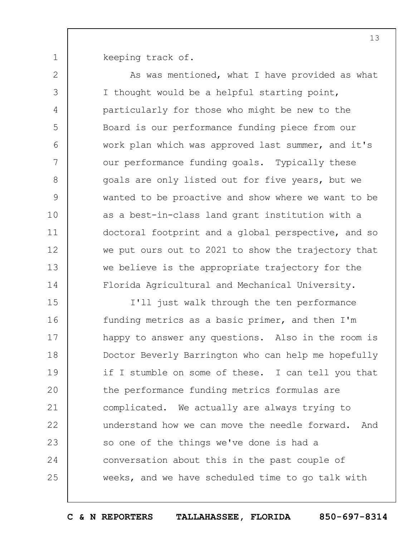keeping track of.

1

2

3

4

5

6

7

8

9

10

11

12

13

14

As was mentioned, what I have provided as what I thought would be a helpful starting point, particularly for those who might be new to the Board is our performance funding piece from our work plan which was approved last summer, and it's our performance funding goals. Typically these goals are only listed out for five years, but we wanted to be proactive and show where we want to be as a best-in-class land grant institution with a doctoral footprint and a global perspective, and so we put ours out to 2021 to show the trajectory that we believe is the appropriate trajectory for the Florida Agricultural and Mechanical University.

15 16 17 18 19  $20$ 21 22 23 24 25 I'll just walk through the ten performance funding metrics as a basic primer, and then I'm happy to answer any questions. Also in the room is Doctor Beverly Barrington who can help me hopefully if I stumble on some of these. I can tell you that the performance funding metrics formulas are complicated. We actually are always trying to understand how we can move the needle forward. And so one of the things we've done is had a conversation about this in the past couple of weeks, and we have scheduled time to go talk with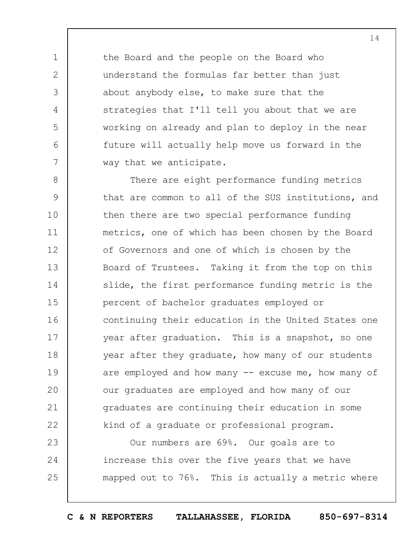the Board and the people on the Board who understand the formulas far better than just about anybody else, to make sure that the strategies that I'll tell you about that we are working on already and plan to deploy in the near future will actually help move us forward in the way that we anticipate.

1

2

3

4

5

6

7

8 9 10 11 12 13 14 15 16 17 18 19  $20$ 21 22 There are eight performance funding metrics that are common to all of the SUS institutions, and then there are two special performance funding metrics, one of which has been chosen by the Board of Governors and one of which is chosen by the Board of Trustees. Taking it from the top on this slide, the first performance funding metric is the percent of bachelor graduates employed or continuing their education in the United States one year after graduation. This is a snapshot, so one year after they graduate, how many of our students are employed and how many  $--$  excuse me, how many of our graduates are employed and how many of our graduates are continuing their education in some kind of a graduate or professional program.

23 24 25 Our numbers are 69%. Our goals are to increase this over the five years that we have mapped out to 76%. This is actually a metric where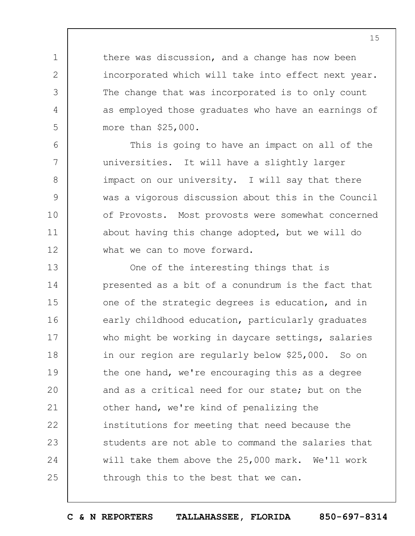there was discussion, and a change has now been incorporated which will take into effect next year. The change that was incorporated is to only count as employed those graduates who have an earnings of more than \$25,000.

1

2

3

4

5

6

7

8

9

10

11

12

This is going to have an impact on all of the universities. It will have a slightly larger impact on our university. I will say that there was a vigorous discussion about this in the Council of Provosts. Most provosts were somewhat concerned about having this change adopted, but we will do what we can to move forward.

13 14 15 16 17 18 19  $20$ 21 22 23 24 25 One of the interesting things that is presented as a bit of a conundrum is the fact that one of the strategic degrees is education, and in early childhood education, particularly graduates who might be working in daycare settings, salaries in our region are regularly below \$25,000. So on the one hand, we're encouraging this as a degree and as a critical need for our state; but on the other hand, we're kind of penalizing the institutions for meeting that need because the students are not able to command the salaries that will take them above the 25,000 mark. We'll work through this to the best that we can.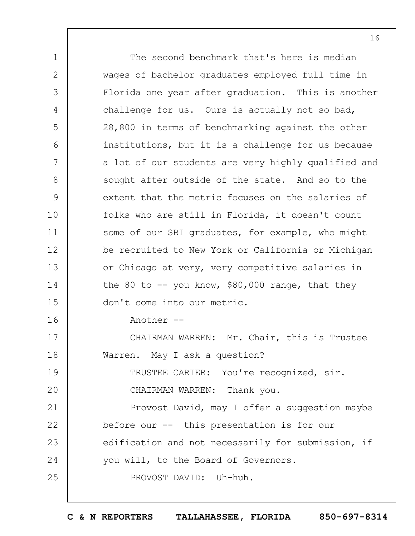1 2 3 4 5 6 7 8 9 10 11 12 13 14 15 16 17 18 19  $20$ 21 22 23 24 25 The second benchmark that's here is median wages of bachelor graduates employed full time in Florida one year after graduation. This is another challenge for us. Ours is actually not so bad, 28,800 in terms of benchmarking against the other institutions, but it is a challenge for us because a lot of our students are very highly qualified and sought after outside of the state. And so to the extent that the metric focuses on the salaries of folks who are still in Florida, it doesn't count some of our SBI graduates, for example, who might be recruited to New York or California or Michigan or Chicago at very, very competitive salaries in the 80 to  $-$  you know, \$80,000 range, that they don't come into our metric. Another -- CHAIRMAN WARREN: Mr. Chair, this is Trustee Warren. May I ask a question? TRUSTEE CARTER: You're recognized, sir. CHAIRMAN WARREN: Thank you. Provost David, may I offer a suggestion maybe before our -- this presentation is for our edification and not necessarily for submission, if you will, to the Board of Governors. PROVOST DAVID: Uh-huh.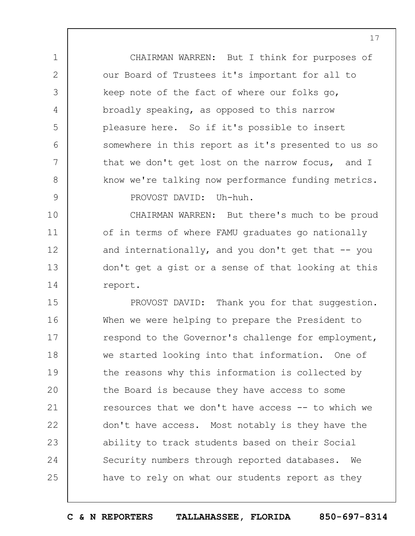CHAIRMAN WARREN: But I think for purposes of our Board of Trustees it's important for all to keep note of the fact of where our folks go, broadly speaking, as opposed to this narrow pleasure here. So if it's possible to insert somewhere in this report as it's presented to us so that we don't get lost on the narrow focus, and I know we're talking now performance funding metrics. PROVOST DAVID: Uh-huh.

1

2

3

4

5

6

7

8

9

10 11 12 13 14 CHAIRMAN WARREN: But there's much to be proud of in terms of where FAMU graduates go nationally and internationally, and you don't get that  $-$ - you don't get a gist or a sense of that looking at this report.

15 16 17 18 19  $20$ 21 22 23 24 25 PROVOST DAVID: Thank you for that suggestion. When we were helping to prepare the President to respond to the Governor's challenge for employment, we started looking into that information. One of the reasons why this information is collected by the Board is because they have access to some resources that we don't have access -- to which we don't have access. Most notably is they have the ability to track students based on their Social Security numbers through reported databases. We have to rely on what our students report as they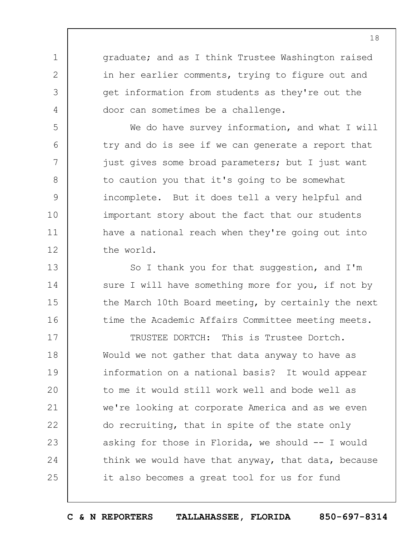graduate; and as I think Trustee Washington raised in her earlier comments, trying to figure out and get information from students as they're out the door can sometimes be a challenge.

1

2

3

4

5

6

7

8

9

10

11

12

13

14

15

16

We do have survey information, and what I will try and do is see if we can generate a report that just gives some broad parameters; but I just want to caution you that it's going to be somewhat incomplete. But it does tell a very helpful and important story about the fact that our students have a national reach when they're going out into the world.

So I thank you for that suggestion, and I'm sure I will have something more for you, if not by the March 10th Board meeting, by certainly the next time the Academic Affairs Committee meeting meets.

17 18 19  $20$ 21 22 23 24 25 TRUSTEE DORTCH: This is Trustee Dortch. Would we not gather that data anyway to have as information on a national basis? It would appear to me it would still work well and bode well as we're looking at corporate America and as we even do recruiting, that in spite of the state only asking for those in Florida, we should -- I would think we would have that anyway, that data, because it also becomes a great tool for us for fund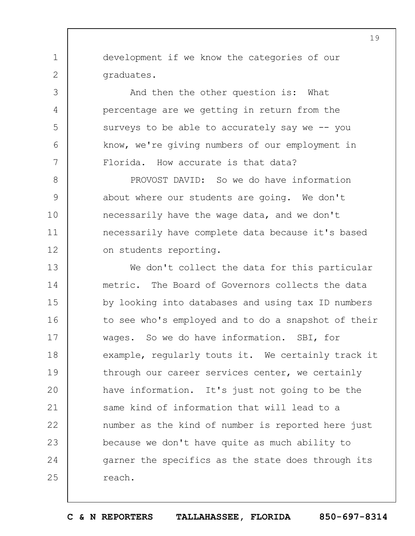development if we know the categories of our graduates.

1

2

3

4

5

6

7

And then the other question is: What percentage are we getting in return from the surveys to be able to accurately say we -- you know, we're giving numbers of our employment in Florida. How accurate is that data?

8 9 10 11 12 PROVOST DAVID: So we do have information about where our students are going. We don't necessarily have the wage data, and we don't necessarily have complete data because it's based on students reporting.

13 14 15 16 17 18 19  $20$ 21 22 23 24 25 We don't collect the data for this particular metric. The Board of Governors collects the data by looking into databases and using tax ID numbers to see who's employed and to do a snapshot of their wages. So we do have information. SBI, for example, regularly touts it. We certainly track it through our career services center, we certainly have information. It's just not going to be the same kind of information that will lead to a number as the kind of number is reported here just because we don't have quite as much ability to garner the specifics as the state does through its reach.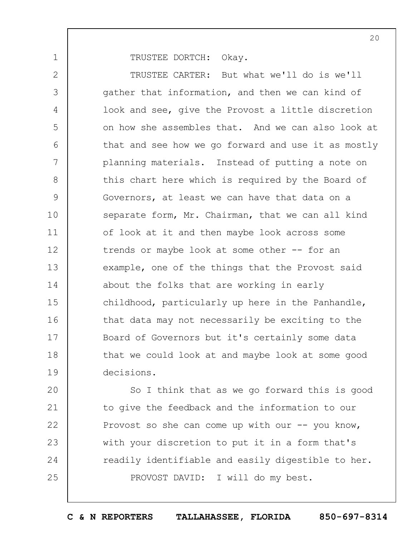TRUSTEE DORTCH: Okay.

1

2 3 4 5 6 7 8 9 10 11 12 13 14 15 16 17 18 19 TRUSTEE CARTER: But what we'll do is we'll gather that information, and then we can kind of look and see, give the Provost a little discretion on how she assembles that. And we can also look at that and see how we go forward and use it as mostly planning materials. Instead of putting a note on this chart here which is required by the Board of Governors, at least we can have that data on a separate form, Mr. Chairman, that we can all kind of look at it and then maybe look across some trends or maybe look at some other -- for an example, one of the things that the Provost said about the folks that are working in early childhood, particularly up here in the Panhandle, that data may not necessarily be exciting to the Board of Governors but it's certainly some data that we could look at and maybe look at some good decisions.

 $20$ 21 22 23 24 25 So I think that as we go forward this is good to give the feedback and the information to our Provost so she can come up with our  $-$ - you know, with your discretion to put it in a form that's readily identifiable and easily digestible to her. PROVOST DAVID: I will do my best.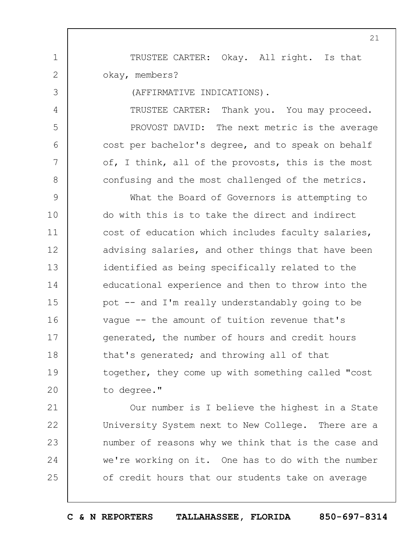TRUSTEE CARTER: Okay. All right. Is that okay, members?

(AFFIRMATIVE INDICATIONS).

1

2

3

4

5

6

7

8

TRUSTEE CARTER: Thank you. You may proceed. PROVOST DAVID: The next metric is the average cost per bachelor's degree, and to speak on behalf of, I think, all of the provosts, this is the most confusing and the most challenged of the metrics.

9 10 11 12 13 14 15 16 17 18 19  $20$ What the Board of Governors is attempting to do with this is to take the direct and indirect cost of education which includes faculty salaries, advising salaries, and other things that have been identified as being specifically related to the educational experience and then to throw into the pot -- and I'm really understandably going to be vague -- the amount of tuition revenue that's generated, the number of hours and credit hours that's generated; and throwing all of that together, they come up with something called "cost to degree."

21 22 23 24 25 Our number is I believe the highest in a State University System next to New College. There are a number of reasons why we think that is the case and we're working on it. One has to do with the number of credit hours that our students take on average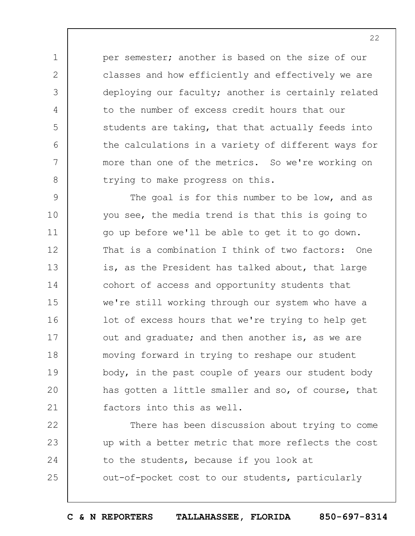per semester; another is based on the size of our classes and how efficiently and effectively we are deploying our faculty; another is certainly related to the number of excess credit hours that our students are taking, that that actually feeds into the calculations in a variety of different ways for more than one of the metrics. So we're working on trying to make progress on this.

1

2

3

4

5

6

7

8

9 10 11 12 13 14 15 16 17 18 19  $20$ 21 The goal is for this number to be low, and as you see, the media trend is that this is going to go up before we'll be able to get it to go down. That is a combination I think of two factors: One is, as the President has talked about, that large cohort of access and opportunity students that we're still working through our system who have a lot of excess hours that we're trying to help get out and graduate; and then another is, as we are moving forward in trying to reshape our student body, in the past couple of years our student body has gotten a little smaller and so, of course, that factors into this as well.

22 23 24 25 There has been discussion about trying to come up with a better metric that more reflects the cost to the students, because if you look at out-of-pocket cost to our students, particularly

**C & N REPORTERS TALLAHASSEE, FLORIDA 850-697-8314**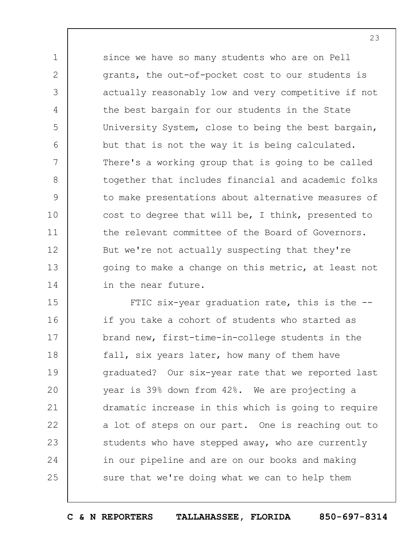since we have so many students who are on Pell grants, the out-of-pocket cost to our students is actually reasonably low and very competitive if not the best bargain for our students in the State University System, close to being the best bargain, but that is not the way it is being calculated. There's a working group that is going to be called together that includes financial and academic folks to make presentations about alternative measures of cost to degree that will be, I think, presented to the relevant committee of the Board of Governors. But we're not actually suspecting that they're going to make a change on this metric, at least not in the near future.

1

2

3

4

5

6

7

8

9

10

11

12

13

14

15 16 17 18 19  $20$ 21 22 23 24 25 FTIC six-year graduation rate, this is the -if you take a cohort of students who started as brand new, first-time-in-college students in the fall, six years later, how many of them have graduated? Our six-year rate that we reported last year is 39% down from 42%. We are projecting a dramatic increase in this which is going to require a lot of steps on our part. One is reaching out to students who have stepped away, who are currently in our pipeline and are on our books and making sure that we're doing what we can to help them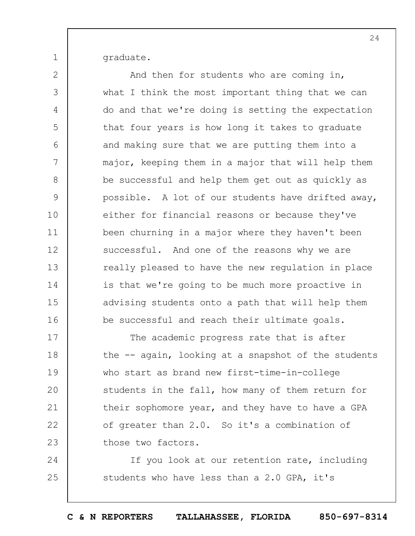graduate.

1

2 3 4 5 6 7 8 9 10 11 12 13 14 15 16 17 And then for students who are coming in, what I think the most important thing that we can do and that we're doing is setting the expectation that four years is how long it takes to graduate and making sure that we are putting them into a major, keeping them in a major that will help them be successful and help them get out as quickly as possible. A lot of our students have drifted away, either for financial reasons or because they've been churning in a major where they haven't been successful. And one of the reasons why we are really pleased to have the new regulation in place is that we're going to be much more proactive in advising students onto a path that will help them be successful and reach their ultimate goals. The academic progress rate that is after

18 19  $20$ 21 22 23 the -- again, looking at a snapshot of the students who start as brand new first-time-in-college students in the fall, how many of them return for their sophomore year, and they have to have a GPA of greater than 2.0. So it's a combination of those two factors.

24 25 If you look at our retention rate, including students who have less than a 2.0 GPA, it's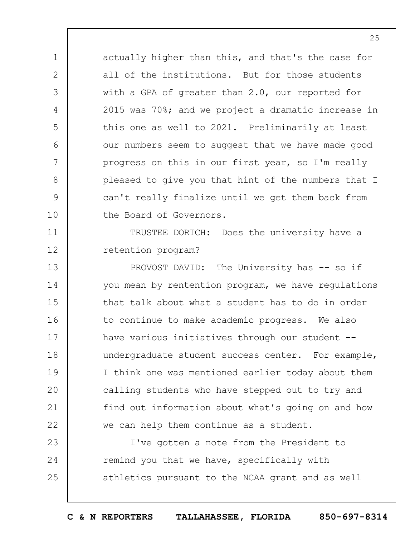actually higher than this, and that's the case for all of the institutions. But for those students with a GPA of greater than 2.0, our reported for 2015 was 70%; and we project a dramatic increase in this one as well to 2021. Preliminarily at least our numbers seem to suggest that we have made good progress on this in our first year, so I'm really pleased to give you that hint of the numbers that I can't really finalize until we get them back from the Board of Governors.

1

2

3

4

5

6

7

8

9

10

11

12

TRUSTEE DORTCH: Does the university have a retention program?

13 14 15 16 17 18 19  $20$ 21 22 PROVOST DAVID: The University has -- so if you mean by rentention program, we have regulations that talk about what a student has to do in order to continue to make academic progress. We also have various initiatives through our student -undergraduate student success center. For example, I think one was mentioned earlier today about them calling students who have stepped out to try and find out information about what's going on and how we can help them continue as a student.

23 24 25 I've gotten a note from the President to remind you that we have, specifically with athletics pursuant to the NCAA grant and as well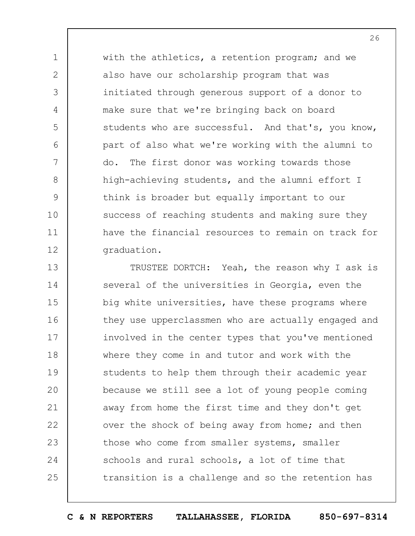with the athletics, a retention program; and we also have our scholarship program that was initiated through generous support of a donor to make sure that we're bringing back on board students who are successful. And that's, you know, part of also what we're working with the alumni to do. The first donor was working towards those high-achieving students, and the alumni effort I think is broader but equally important to our success of reaching students and making sure they have the financial resources to remain on track for graduation.

1

2

3

4

5

6

7

8

9

10

11

12

13 14 15 16 17 18 19  $20$ 21 22 23 24 25 TRUSTEE DORTCH: Yeah, the reason why I ask is several of the universities in Georgia, even the big white universities, have these programs where they use upperclassmen who are actually engaged and involved in the center types that you've mentioned where they come in and tutor and work with the students to help them through their academic year because we still see a lot of young people coming away from home the first time and they don't get over the shock of being away from home; and then those who come from smaller systems, smaller schools and rural schools, a lot of time that transition is a challenge and so the retention has

**C & N REPORTERS TALLAHASSEE, FLORIDA 850-697-8314**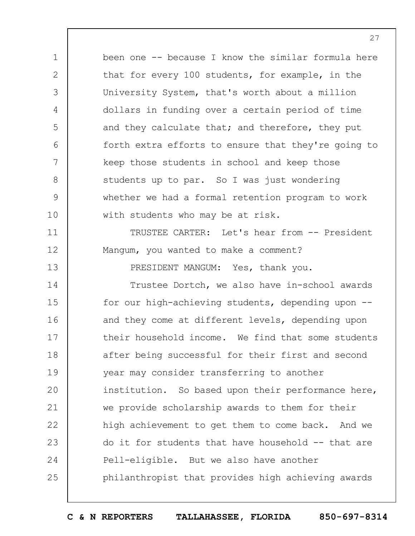1 2 3 4 5 6 7 8 9 10 been one -- because I know the similar formula here that for every 100 students, for example, in the University System, that's worth about a million dollars in funding over a certain period of time and they calculate that; and therefore, they put forth extra efforts to ensure that they're going to keep those students in school and keep those students up to par. So I was just wondering whether we had a formal retention program to work with students who may be at risk.

TRUSTEE CARTER: Let's hear from -- President Mangum, you wanted to make a comment?

11

12

13

PRESIDENT MANGUM: Yes, thank you.

14 15 16 17 18 19  $20$ 21 22 23 24 25 Trustee Dortch, we also have in-school awards for our high-achieving students, depending upon - and they come at different levels, depending upon their household income. We find that some students after being successful for their first and second year may consider transferring to another institution. So based upon their performance here, we provide scholarship awards to them for their high achievement to get them to come back. And we do it for students that have household -- that are Pell-eligible. But we also have another philanthropist that provides high achieving awards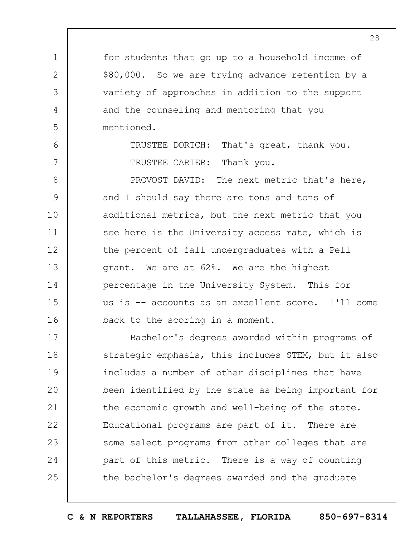for students that go up to a household income of \$80,000. So we are trying advance retention by a variety of approaches in addition to the support and the counseling and mentoring that you mentioned.

1

2

3

4

5

6

7

TRUSTEE DORTCH: That's great, thank you. TRUSTEE CARTER: Thank you.

8 9 10 11 12 13 14 15 16 PROVOST DAVID: The next metric that's here, and I should say there are tons and tons of additional metrics, but the next metric that you see here is the University access rate, which is the percent of fall undergraduates with a Pell grant. We are at 62%. We are the highest percentage in the University System. This for us is -- accounts as an excellent score. I'll come back to the scoring in a moment.

17 18 19  $20$ 21 22 23 24 25 Bachelor's degrees awarded within programs of strategic emphasis, this includes STEM, but it also includes a number of other disciplines that have been identified by the state as being important for the economic growth and well-being of the state. Educational programs are part of it. There are some select programs from other colleges that are part of this metric. There is a way of counting the bachelor's degrees awarded and the graduate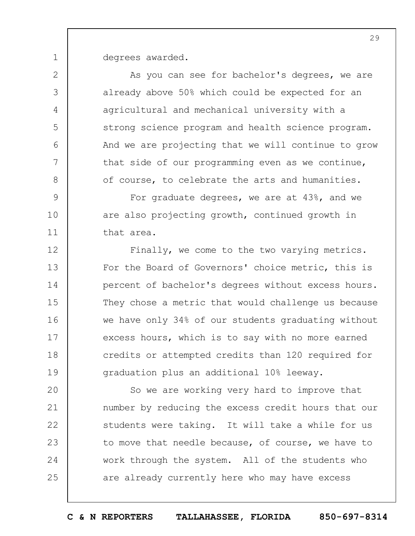degrees awarded.

1

2

3

4

5

6

7

8

9

10

11

As you can see for bachelor's degrees, we are already above 50% which could be expected for an agricultural and mechanical university with a strong science program and health science program. And we are projecting that we will continue to grow that side of our programming even as we continue, of course, to celebrate the arts and humanities.

For graduate degrees, we are at 43%, and we are also projecting growth, continued growth in that area.

12 13 14 15 16 17 18 19 Finally, we come to the two varying metrics. For the Board of Governors' choice metric, this is percent of bachelor's degrees without excess hours. They chose a metric that would challenge us because we have only 34% of our students graduating without excess hours, which is to say with no more earned credits or attempted credits than 120 required for graduation plus an additional 10% leeway.

 $20$ 21 22 23 24 25 So we are working very hard to improve that number by reducing the excess credit hours that our students were taking. It will take a while for us to move that needle because, of course, we have to work through the system. All of the students who are already currently here who may have excess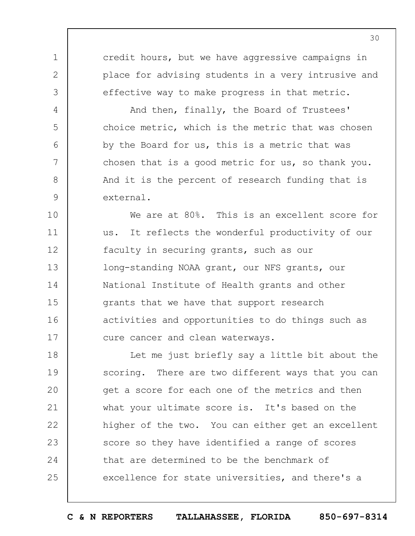credit hours, but we have aggressive campaigns in place for advising students in a very intrusive and effective way to make progress in that metric.

1

2

3

4

5

6

7

8

9

And then, finally, the Board of Trustees' choice metric, which is the metric that was chosen by the Board for us, this is a metric that was chosen that is a good metric for us, so thank you. And it is the percent of research funding that is external.

10 11 12 13 14 15 16 17 We are at 80%. This is an excellent score for us. It reflects the wonderful productivity of our faculty in securing grants, such as our long-standing NOAA grant, our NFS grants, our National Institute of Health grants and other grants that we have that support research activities and opportunities to do things such as cure cancer and clean waterways.

18 19  $20$ 21 22 23 24 25 Let me just briefly say a little bit about the scoring. There are two different ways that you can get a score for each one of the metrics and then what your ultimate score is. It's based on the higher of the two. You can either get an excellent score so they have identified a range of scores that are determined to be the benchmark of excellence for state universities, and there's a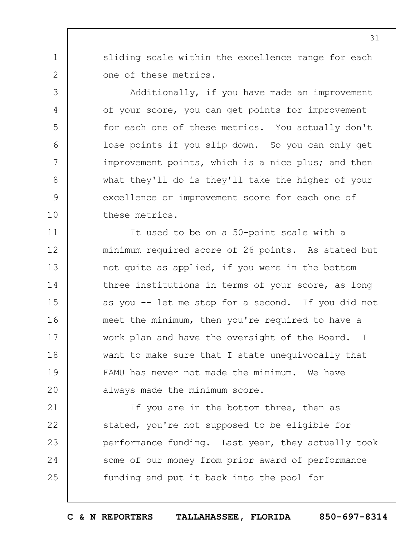sliding scale within the excellence range for each one of these metrics.

1

2

3

4

5

6

7

8

9

10

Additionally, if you have made an improvement of your score, you can get points for improvement for each one of these metrics. You actually don't lose points if you slip down. So you can only get improvement points, which is a nice plus; and then what they'll do is they'll take the higher of your excellence or improvement score for each one of these metrics.

11 12 13 14 15 16 17 18 19  $20$ It used to be on a 50-point scale with a minimum required score of 26 points. As stated but not quite as applied, if you were in the bottom three institutions in terms of your score, as long as you -- let me stop for a second. If you did not meet the minimum, then you're required to have a work plan and have the oversight of the Board. I want to make sure that I state unequivocally that FAMU has never not made the minimum. We have always made the minimum score.

21 22 23 24 25 If you are in the bottom three, then as stated, you're not supposed to be eligible for performance funding. Last year, they actually took some of our money from prior award of performance funding and put it back into the pool for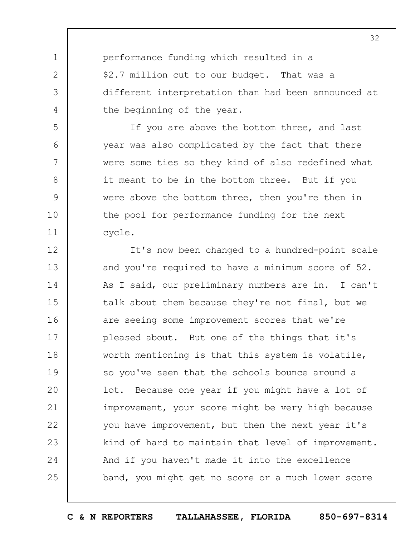performance funding which resulted in a \$2.7 million cut to our budget. That was a different interpretation than had been announced at the beginning of the year.

1

2

3

4

5

6

7

8

9

10

11

If you are above the bottom three, and last year was also complicated by the fact that there were some ties so they kind of also redefined what it meant to be in the bottom three. But if you were above the bottom three, then you're then in the pool for performance funding for the next cycle.

12 13 14 15 16 17 18 19  $20$ 21 22 23 24 25 It's now been changed to a hundred-point scale and you're required to have a minimum score of 52. As I said, our preliminary numbers are in. I can't talk about them because they're not final, but we are seeing some improvement scores that we're pleased about. But one of the things that it's worth mentioning is that this system is volatile, so you've seen that the schools bounce around a lot. Because one year if you might have a lot of improvement, your score might be very high because you have improvement, but then the next year it's kind of hard to maintain that level of improvement. And if you haven't made it into the excellence band, you might get no score or a much lower score

**C & N REPORTERS TALLAHASSEE, FLORIDA 850-697-8314**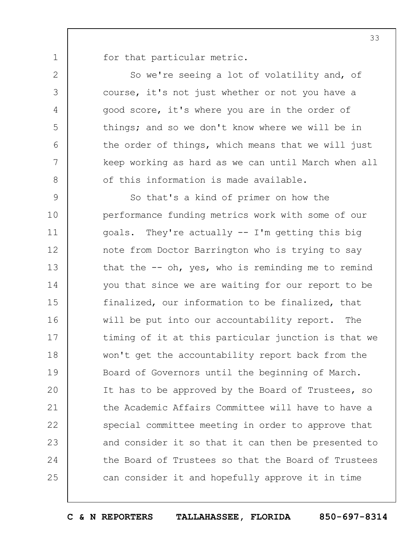for that particular metric.

1

2

3

4

5

6

7

8

So we're seeing a lot of volatility and, of course, it's not just whether or not you have a good score, it's where you are in the order of things; and so we don't know where we will be in the order of things, which means that we will just keep working as hard as we can until March when all of this information is made available.

9 10 11 12 13 14 15 16 17 18 19  $20$ 21 22 23 24 25 So that's a kind of primer on how the performance funding metrics work with some of our goals. They're actually -- I'm getting this big note from Doctor Barrington who is trying to say that the  $-$  oh, yes, who is reminding me to remind you that since we are waiting for our report to be finalized, our information to be finalized, that will be put into our accountability report. The timing of it at this particular junction is that we won't get the accountability report back from the Board of Governors until the beginning of March. It has to be approved by the Board of Trustees, so the Academic Affairs Committee will have to have a special committee meeting in order to approve that and consider it so that it can then be presented to the Board of Trustees so that the Board of Trustees can consider it and hopefully approve it in time

**C & N REPORTERS TALLAHASSEE, FLORIDA 850-697-8314**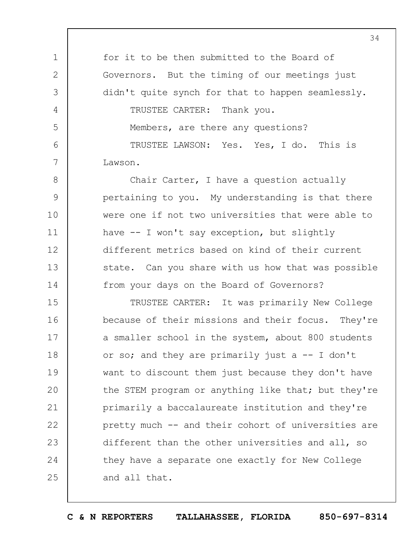1 2 3 4 5 6 7 for it to be then submitted to the Board of Governors. But the timing of our meetings just didn't quite synch for that to happen seamlessly. TRUSTEE CARTER: Thank you. Members, are there any questions? TRUSTEE LAWSON: Yes. Yes, I do. This is Lawson.

8 9 10 11 12 13 14 Chair Carter, I have a question actually pertaining to you. My understanding is that there were one if not two universities that were able to have -- I won't say exception, but slightly different metrics based on kind of their current state. Can you share with us how that was possible from your days on the Board of Governors?

15 16 17 18 19  $20$ 21 22 23 24 25 TRUSTEE CARTER: It was primarily New College because of their missions and their focus. They're a smaller school in the system, about 800 students or so; and they are primarily just  $a -1$  don't want to discount them just because they don't have the STEM program or anything like that; but they're primarily a baccalaureate institution and they're pretty much -- and their cohort of universities are different than the other universities and all, so they have a separate one exactly for New College and all that.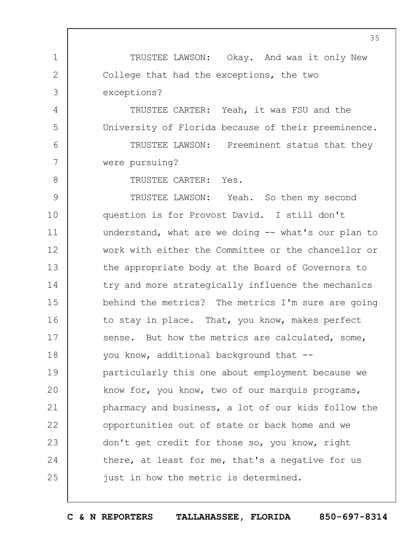1 2 3 4 5 6 7 8 9 10 11 12 13 14 15 16 17 18 19  $20$ 21 22 23 24 25 35 TRUSTEE LAWSON: Okay. And was it only New College that had the exceptions, the two exceptions? TRUSTEE CARTER: Yeah, it was FSU and the University of Florida because of their preeminence. TRUSTEE LAWSON: Preeminent status that they were pursuing? TRUSTEE CARTER: Yes. TRUSTEE LAWSON: Yeah. So then my second question is for Provost David. I still don't understand, what are we doing -- what's our plan to work with either the Committee or the chancellor or the appropriate body at the Board of Governors to try and more strategically influence the mechanics behind the metrics? The metrics I'm sure are going to stay in place. That, you know, makes perfect sense. But how the metrics are calculated, some, you know, additional background that - particularly this one about employment because we know for, you know, two of our marquis programs, pharmacy and business, a lot of our kids follow the opportunities out of state or back home and we don't get credit for those so, you know, right there, at least for me, that's a negative for us just in how the metric is determined.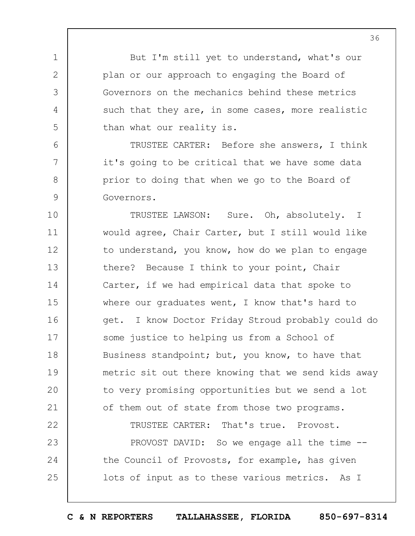But I'm still yet to understand, what's our plan or our approach to engaging the Board of Governors on the mechanics behind these metrics such that they are, in some cases, more realistic than what our reality is.

1

2

3

4

5

6

7

8

9

24

25

TRUSTEE CARTER: Before she answers, I think it's going to be critical that we have some data prior to doing that when we go to the Board of Governors.

10 11 12 13 14 15 16 17 18 19  $20$ 21 22 TRUSTEE LAWSON: Sure. Oh, absolutely. I would agree, Chair Carter, but I still would like to understand, you know, how do we plan to engage there? Because I think to your point, Chair Carter, if we had empirical data that spoke to where our graduates went, I know that's hard to get. I know Doctor Friday Stroud probably could do some justice to helping us from a School of Business standpoint; but, you know, to have that metric sit out there knowing that we send kids away to very promising opportunities but we send a lot of them out of state from those two programs. TRUSTEE CARTER: That's true. Provost.

23 PROVOST DAVID: So we engage all the time -the Council of Provosts, for example, has given lots of input as to these various metrics. As I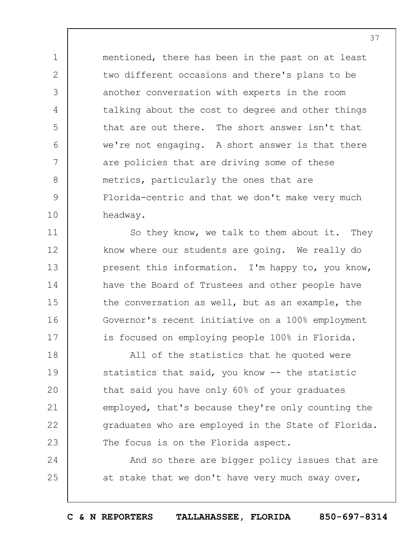mentioned, there has been in the past on at least two different occasions and there's plans to be another conversation with experts in the room talking about the cost to degree and other things that are out there. The short answer isn't that we're not engaging. A short answer is that there are policies that are driving some of these metrics, particularly the ones that are Florida-centric and that we don't make very much headway.

1

2

3

4

5

6

7

8

9

10

11

12

13

14

15

16

17

So they know, we talk to them about it. They know where our students are going. We really do present this information. I'm happy to, you know, have the Board of Trustees and other people have the conversation as well, but as an example, the Governor's recent initiative on a 100% employment is focused on employing people 100% in Florida.

18 19  $20$ 21 22 23 All of the statistics that he quoted were statistics that said, you know -- the statistic that said you have only 60% of your graduates employed, that's because they're only counting the graduates who are employed in the State of Florida. The focus is on the Florida aspect.

24 25 And so there are bigger policy issues that are at stake that we don't have very much sway over,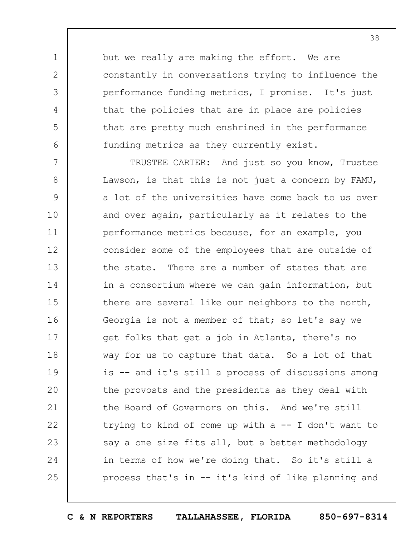but we really are making the effort. We are constantly in conversations trying to influence the performance funding metrics, I promise. It's just that the policies that are in place are policies that are pretty much enshrined in the performance funding metrics as they currently exist.

1

2

3

4

5

6

7 8 9 10 11 12 13 14 15 16 17 18 19  $20$ 21 22 23 24 25 TRUSTEE CARTER: And just so you know, Trustee Lawson, is that this is not just a concern by FAMU, a lot of the universities have come back to us over and over again, particularly as it relates to the performance metrics because, for an example, you consider some of the employees that are outside of the state. There are a number of states that are in a consortium where we can gain information, but there are several like our neighbors to the north, Georgia is not a member of that; so let's say we get folks that get a job in Atlanta, there's no way for us to capture that data. So a lot of that is -- and it's still a process of discussions among the provosts and the presidents as they deal with the Board of Governors on this. And we're still trying to kind of come up with a -- I don't want to say a one size fits all, but a better methodology in terms of how we're doing that. So it's still a process that's in -- it's kind of like planning and

**C & N REPORTERS TALLAHASSEE, FLORIDA 850-697-8314**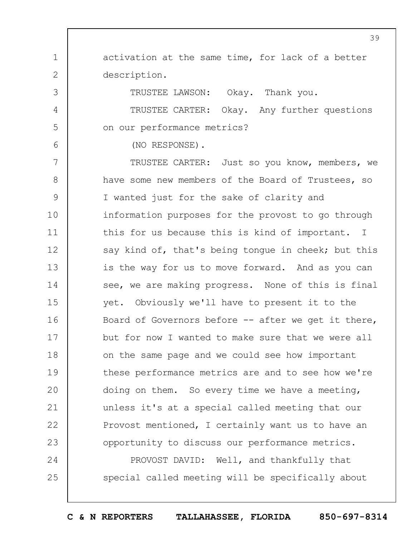1 2 3 4 5 6 7 8 9 10 11 12 13 14 15 16 17 18 19  $20$ 21 22 23 24 25 activation at the same time, for lack of a better description. TRUSTEE LAWSON: Okay. Thank you. TRUSTEE CARTER: Okay. Any further questions on our performance metrics? (NO RESPONSE). TRUSTEE CARTER: Just so you know, members, we have some new members of the Board of Trustees, so I wanted just for the sake of clarity and information purposes for the provost to go through this for us because this is kind of important. I say kind of, that's being tongue in cheek; but this is the way for us to move forward. And as you can see, we are making progress. None of this is final yet. Obviously we'll have to present it to the Board of Governors before -- after we get it there, but for now I wanted to make sure that we were all on the same page and we could see how important these performance metrics are and to see how we're doing on them. So every time we have a meeting, unless it's at a special called meeting that our Provost mentioned, I certainly want us to have an opportunity to discuss our performance metrics. PROVOST DAVID: Well, and thankfully that special called meeting will be specifically about

**C & N REPORTERS TALLAHASSEE, FLORIDA 850-697-8314**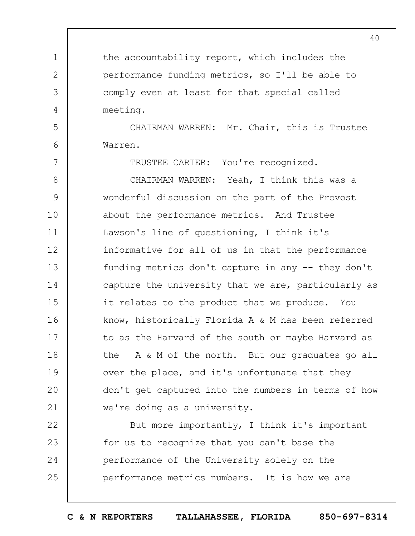the accountability report, which includes the performance funding metrics, so I'll be able to comply even at least for that special called meeting. CHAIRMAN WARREN: Mr. Chair, this is Trustee Warren.

1

2

3

4

5

6

7

TRUSTEE CARTER: You're recognized.

8 9 10 11 12 13 14 15 16 17 18 19  $20$ 21 CHAIRMAN WARREN: Yeah, I think this was a wonderful discussion on the part of the Provost about the performance metrics. And Trustee Lawson's line of questioning, I think it's informative for all of us in that the performance funding metrics don't capture in any -- they don't capture the university that we are, particularly as it relates to the product that we produce. You know, historically Florida A & M has been referred to as the Harvard of the south or maybe Harvard as the A & M of the north. But our graduates go all over the place, and it's unfortunate that they don't get captured into the numbers in terms of how we're doing as a university.

22 23 24 25 But more importantly, I think it's important for us to recognize that you can't base the performance of the University solely on the performance metrics numbers. It is how we are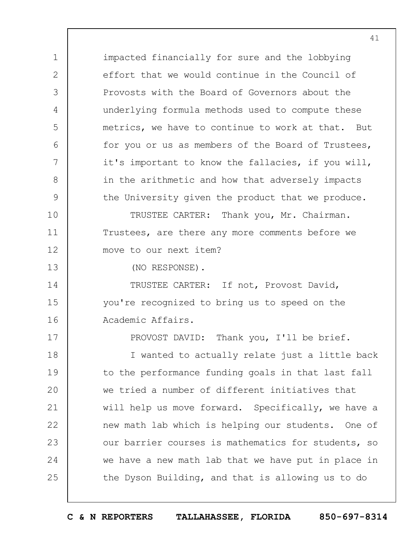impacted financially for sure and the lobbying effort that we would continue in the Council of Provosts with the Board of Governors about the underlying formula methods used to compute these metrics, we have to continue to work at that. But for you or us as members of the Board of Trustees, it's important to know the fallacies, if you will, in the arithmetic and how that adversely impacts the University given the product that we produce. TRUSTEE CARTER: Thank you, Mr. Chairman. Trustees, are there any more comments before we move to our next item?

13

1

2

3

4

5

6

7

8

9

10

11

12

17

(NO RESPONSE).

14 15 16 TRUSTEE CARTER: If not, Provost David, you're recognized to bring us to speed on the Academic Affairs.

PROVOST DAVID: Thank you, I'll be brief.

18 19  $20$ 21 22 23 24 25 I wanted to actually relate just a little back to the performance funding goals in that last fall we tried a number of different initiatives that will help us move forward. Specifically, we have a new math lab which is helping our students. One of our barrier courses is mathematics for students, so we have a new math lab that we have put in place in the Dyson Building, and that is allowing us to do

41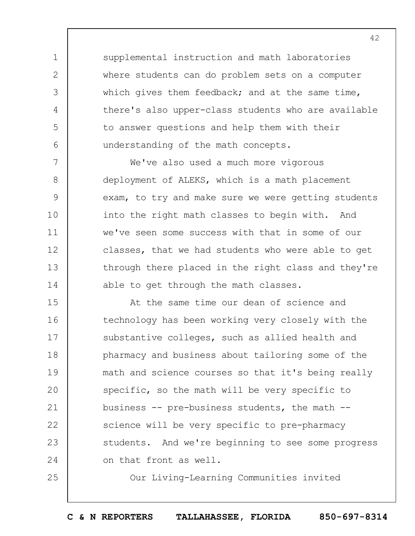supplemental instruction and math laboratories where students can do problem sets on a computer which gives them feedback; and at the same time, there's also upper-class students who are available to answer questions and help them with their understanding of the math concepts.

1

2

3

4

5

6

25

7 8 9 10 11 12 13 14 We've also used a much more vigorous deployment of ALEKS, which is a math placement exam, to try and make sure we were getting students into the right math classes to begin with. And we've seen some success with that in some of our classes, that we had students who were able to get through there placed in the right class and they're able to get through the math classes.

15 16 17 18 19  $20$ 21 22 23 24 At the same time our dean of science and technology has been working very closely with the substantive colleges, such as allied health and pharmacy and business about tailoring some of the math and science courses so that it's being really specific, so the math will be very specific to business -- pre-business students, the math - science will be very specific to pre-pharmacy students. And we're beginning to see some progress on that front as well.

Our Living-Learning Communities invited

**C & N REPORTERS TALLAHASSEE, FLORIDA 850-697-8314**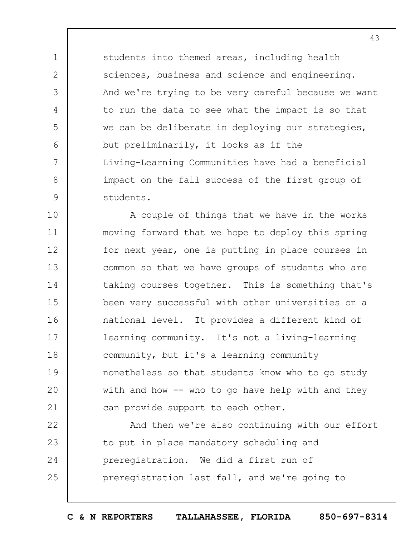students into themed areas, including health sciences, business and science and engineering. And we're trying to be very careful because we want to run the data to see what the impact is so that we can be deliberate in deploying our strategies, but preliminarily, it looks as if the Living-Learning Communities have had a beneficial impact on the fall success of the first group of students.

1

2

3

4

5

6

7

8

9

10 11 12 13 14 15 16 17 18 19  $20$ 21 A couple of things that we have in the works moving forward that we hope to deploy this spring for next year, one is putting in place courses in common so that we have groups of students who are taking courses together. This is something that's been very successful with other universities on a national level. It provides a different kind of learning community. It's not a living-learning community, but it's a learning community nonetheless so that students know who to go study with and how  $-$  who to go have help with and they can provide support to each other.

22 23 24 25 And then we're also continuing with our effort to put in place mandatory scheduling and preregistration. We did a first run of preregistration last fall, and we're going to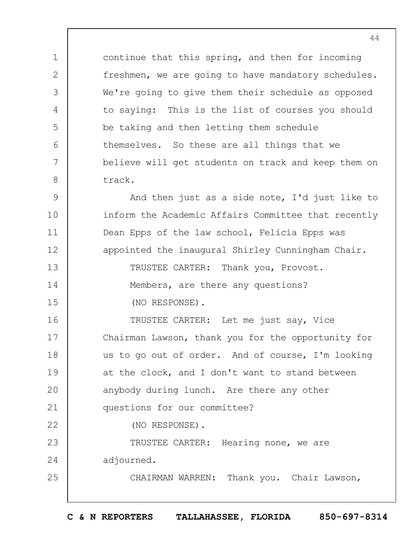continue that this spring, and then for incoming freshmen, we are going to have mandatory schedules. We're going to give them their schedule as opposed to saying: This is the list of courses you should be taking and then letting them schedule themselves. So these are all things that we believe will get students on track and keep them on track.

1

2

3

4

5

6

7

8

14

15

22

25

9 10 11 12 13 And then just as a side note, I'd just like to inform the Academic Affairs Committee that recently Dean Epps of the law school, Felicia Epps was appointed the inaugural Shirley Cunningham Chair. TRUSTEE CARTER: Thank you, Provost.

> Members, are there any questions? (NO RESPONSE).

16 17 18 19  $20$ 21 TRUSTEE CARTER: Let me just say, Vice Chairman Lawson, thank you for the opportunity for us to go out of order. And of course, I'm looking at the clock, and I don't want to stand between anybody during lunch. Are there any other questions for our committee?

(NO RESPONSE).

23 24 TRUSTEE CARTER: Hearing none, we are adjourned.

CHAIRMAN WARREN: Thank you. Chair Lawson,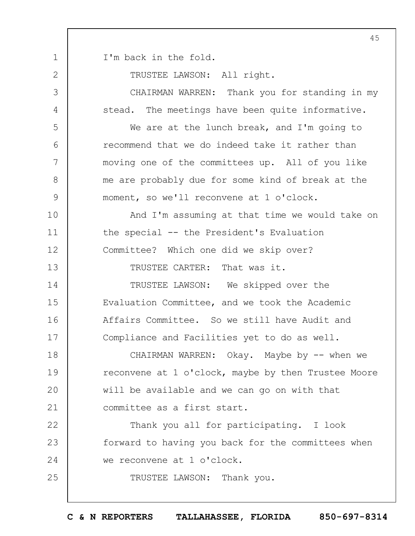1 I'm back in the fold.

2

TRUSTEE LAWSON: All right.

3 4 5 6 7 8 9 10 11 12 13 14 15 16 17 18 19  $20$ 21 22 23 24 25 CHAIRMAN WARREN: Thank you for standing in my stead. The meetings have been quite informative. We are at the lunch break, and I'm going to recommend that we do indeed take it rather than moving one of the committees up. All of you like me are probably due for some kind of break at the moment, so we'll reconvene at 1 o'clock. And I'm assuming at that time we would take on the special -- the President's Evaluation Committee? Which one did we skip over? TRUSTEE CARTER: That was it. TRUSTEE LAWSON: We skipped over the Evaluation Committee, and we took the Academic Affairs Committee. So we still have Audit and Compliance and Facilities yet to do as well. CHAIRMAN WARREN: Okay. Maybe by -- when we reconvene at 1 o'clock, maybe by then Trustee Moore will be available and we can go on with that committee as a first start. Thank you all for participating. I look forward to having you back for the committees when we reconvene at 1 o'clock. TRUSTEE LAWSON: Thank you.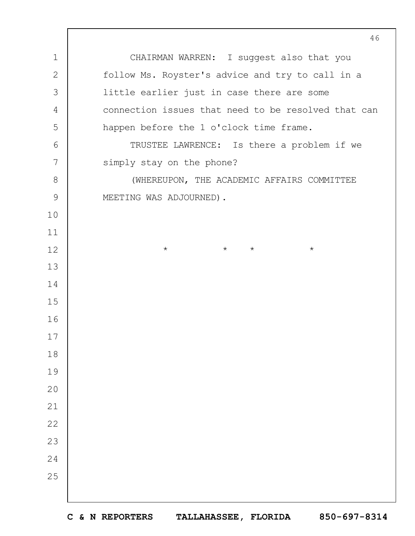CHAIRMAN WARREN: I suggest also that you follow Ms. Royster's advice and try to call in a little earlier just in case there are some connection issues that need to be resolved that can happen before the 1 o'clock time frame. TRUSTEE LAWRENCE: Is there a problem if we simply stay on the phone? (WHEREUPON, THE ACADEMIC AFFAIRS COMMITTEE MEETING WAS ADJOURNED). \* \* \* \*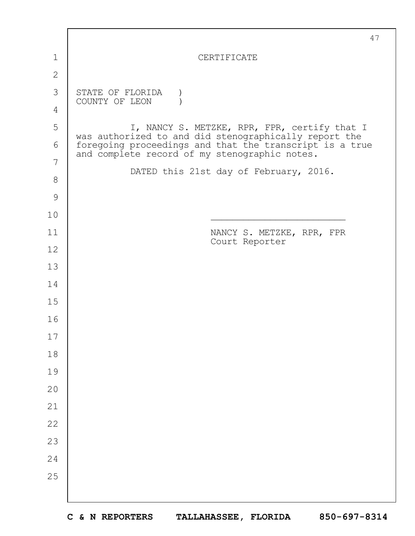|               | 47                                                                                                       |
|---------------|----------------------------------------------------------------------------------------------------------|
| 1             | CERTIFICATE                                                                                              |
| $\mathbf{2}$  |                                                                                                          |
| 3             | STATE OF FLORIDA<br>COUNTY OF LEON                                                                       |
| 4             |                                                                                                          |
| 5             | I, NANCY S. METZKE, RPR, FPR, certify that I<br>was authorized to and did stenographically report the    |
| 6             | foregoing proceedings and that the transcript is a true<br>and complete record of my stenographic notes. |
| 7             |                                                                                                          |
| $8\,$         | DATED this 21st day of February, 2016.                                                                   |
| $\mathcal{G}$ |                                                                                                          |
| 10            |                                                                                                          |
| 11            | NANCY S. METZKE, RPR, FPR<br>Court Reporter                                                              |
| 12            |                                                                                                          |
| 13            |                                                                                                          |
| 14            |                                                                                                          |
| 15            |                                                                                                          |
| 16            |                                                                                                          |
| $17$          |                                                                                                          |
| 18            |                                                                                                          |
| 19            |                                                                                                          |
| 20            |                                                                                                          |
| 21            |                                                                                                          |
| 22            |                                                                                                          |
| 23            |                                                                                                          |
| 24            |                                                                                                          |
| 25            |                                                                                                          |
|               |                                                                                                          |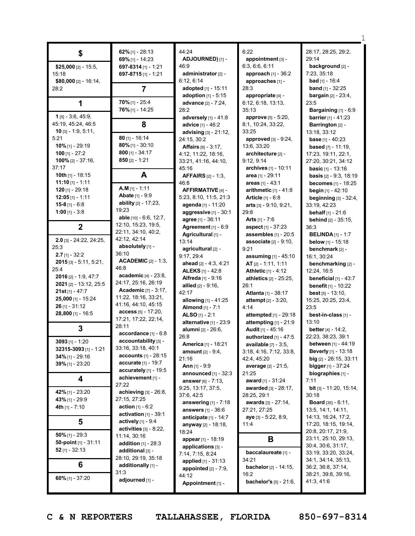|                              | 62% $[1] - 28:13$                                   | 44:24                            | 6:22                                       | 28:17, 28:25, 29:2,              |
|------------------------------|-----------------------------------------------------|----------------------------------|--------------------------------------------|----------------------------------|
| \$                           | 69% $[1] - 14:23$                                   | ADJOURNED) [1] -                 | appointment [3] -                          | 29:14                            |
| \$25,000 $[2] - 15:5$ ,      | 697-8314 $[1]$ - 1:21                               | 46:9                             | 6:3, 6:6, 6:11                             | background [2] -                 |
| 15:18                        | 697-8715 [1] - 1:21                                 | administrator <sub>[2]</sub> -   | approach [1] - 36:2                        | 7:23, 35:18                      |
| \$80,000 $[2] - 16:14$ ,     |                                                     | 6:12, 6:14                       | approaches [1] -                           | <b>bad</b> [1] - 16:4            |
| 28:2                         | $\overline{7}$                                      | adopted [1] - 15:11              | 28:3                                       | <b>band</b> $[1] - 32:25$        |
|                              |                                                     | <b>adoption</b> $[1] - 5:15$     | appropriate [4] -                          | <b>bargain</b> [2] - 23:4,       |
| 1                            | $70\%$ [1] - 25:4                                   | advance [2] - 7:24,              | 6:12, 6:18, 13:13,                         | 23:5                             |
|                              | 76% [1] - 14:25                                     | 28:2                             | 35:13                                      | Bargaining [1] - 6:9             |
| $1$ [5] - 3:6, 45:9,         |                                                     | adversely $[1] - 41:8$           | approve [5] - 5:20,                        | <b>barrier</b> $[1] - 41:23$     |
| 45:19, 45:24, 46:5           | 8                                                   | advice [1] - 46:2                | 8:1, 10:24, 33:22,                         | Barrington [2] -                 |
| <b>10</b> [3] $-$ 1:9, 5:11, |                                                     | advising [3] - 21:12,            | 33:25                                      | 13:18, 33:12                     |
| 5:21                         | $80$ [1] - 16:14                                    | 24:15, 30:2                      | approved $[3] - 9:24$ ,                    | <b>base</b> $[1] - 40:23$        |
| $10\%$ [1] - 29:19           | $80\%$ [1] - 30:10                                  | <b>Affairs</b> $[8] - 3:17$ ,    | 13:6, 33:20                                | <b>based</b> $[7] - 11:19$ ,     |
| 100 $[1] - 27:2$             | $800$ [1] - 34:17                                   | 4:12, 11:22, 18:16,              | architecture [2] -                         | 17:23, 19:11, 22:1,              |
| $100\%$ [2] - 37:16,         | $850$ [2] - 1:21                                    | 33:21, 41:16, 44:10,             | 9:12, 9:14                                 | 27:20, 30:21, 34:12              |
| 37:17                        |                                                     | 45:16                            | archives [1] - 10:11                       | <b>basic</b> $[1] - 13:16$       |
| 10th $[1]$ - 18:15           | A                                                   | <b>AFFAIRS</b> [2] - 1:3,        | area [1] - 29:11                           | basis [2] - 9:3, 18:19           |
| <b>11:10</b> [1] - 1:11      |                                                     | 46:8                             | areas $[1] - 43:1$                         | becomes [1] - 18:25              |
| $120$ [1] - 29:18            | $A.M$ [1] - 1:11                                    | AFFIRMATIVE [4] -                | arithmetic $[1] - 41:8$                    | begin [1] - 42:10                |
| $12:05$ [1] - 1:11           | <b>Abate</b> [1] - 9:9                              | 5:23, 8:10, 11:5, 21:3           | <b>Article</b> $[1] - 6:8$                 | beginning [3] - 32:4,            |
| 15-8 $[1] - 6:8$             | ability $[2] - 17:23$ ,                             | agenda [1] - 11:20               | <b>arts</b> $[3] - 9:10, 9:21,$            | 33:19, 42:23                     |
| 1:00 [1] - 3:8               | 19:23                                               | aggressive [1] - 30:1            | 29:8                                       | <b>behalf</b> $[1] - 21:6$       |
|                              | able [10] - 6:6, 12:7,                              | agree [1] - 36:11                | <b>Arts</b> $[1] - 7:6$                    | behind [2] - 35:15,              |
| $\mathbf 2$                  | 12:10, 15:23, 19:5,                                 | Agreement [1] - 6:9              | <b>aspect</b> [1] - 37:23                  | 36:3                             |
|                              | 22:11, 34:10, 40:2,                                 | Agricultural [1] -               | assembles $[1]$ - 20:5                     | <b>BELINDA</b> [1] - 1:7         |
| $2.0$ [3] - 24:22, 24:25,    | 42:12, 42:14                                        | 13:14                            | <b>associate</b> $[2] - 9:10$ ,            | <b>below</b> $[1] - 15:18$       |
| 25:3                         | absolutely [1] -                                    | agricultural [2] -               | 9:21                                       | benchmark [2] -                  |
| $2.7$ [1] - 32:2             | 36:10                                               | 9:17, 29:4                       | assuming [1] - 45:10                       | 16:1, 30:24                      |
| $2015$ [3] - 5:11, 5:21,     | <b>ACADEMIC</b> $[2] - 1:3$                         | ahead [2] - 4:3, 4:21            | AT [2] - 1:11, 1:11                        | benchmarking [2] -               |
| 25:4                         | 46:8                                                | <b>ALEKS</b> [1] - 42:8          | <b>Athletic [1] - 4:12</b>                 | 12:24, 16:5                      |
| $2016$ [2] - 1:9, 47:7       | academic [4] - 23:8,                                | <b>Alfreda</b> [1] - 9:16        | athletics [2] - 25:25,                     | beneficial $[1]$ - 43:7          |
| 2021 [2] - 13:12, 25:5       | 24:17, 25:16, 26:19                                 | <b>allied</b> $[2] - 9:16$ ,     | 26:1                                       | <b>benefit</b> [1] - 10:22       |
| $21st$ [1] - 47:7            | <b>Academic</b> [7] - 3:17,<br>11:22, 18:16, 33:21, | 42:17                            | <b>Atlanta</b> [1] - 38:17                 | <b>best</b> $[5] - 13:10$ ,      |
| 25,000 [1] - 15:24           | 41:16, 44:10, 45:15                                 | allowing [1] - 41:25             | <b>attempt</b> $[2] - 3:20$ ,              | 15:25, 20:25, 23:4,              |
| $26$ [1] - 31:12             | $access_{[5]} - 17:20,$                             | <b>Almond</b> [1] - 7:1          | 4:14                                       | 23:5                             |
| 28,800 [1] - 16:5            | 17:21, 17:22, 22:14,                                | ALSO [1] - 2:1                   | attempted [1] - 29:18                      | best-in-class [1] -              |
|                              | 28:11                                               | alternative [1] - 23:9           | attempting [1] - 21:9                      | 13:10                            |
| 3                            | accordance [1] - 6:8                                | alumni [2] - 26:6,               | Audit [1] - 45:16                          | better $[4] - 14:2$ ,            |
| $3093$ [1] - 1:20            | accountability [3] -                                | 26:8                             | authorized [1] - 47:5                      | 22:23, 38:23, 39:1               |
| 32315-3093 [1] - 1:21        | 33:16, 33:18, 40:1                                  | <b>America</b> [1] - 18:21       | <b>available</b> $[7] - 3:5$ ,             | <b>between</b> [1] - 44:19       |
| 34% [1] - 29:16              | <b>accounts</b> $[1] - 28:15$                       | <b>amount</b> [2] - 9:4,         | 3:18, 4:16, 7:12, 33:8,                    | <b>Beverly</b> [1] - 13:18       |
| 39% [1] - 23:20              | accurate [1] - 19:7                                 | 21:16                            | 42:4, 45:20                                | big $[2] - 26:15, 33:11$         |
|                              | accurately $[1]$ - 19:5                             | <b>Ann</b> $[1]$ - 9:9           | average [2] - 21:5,                        | <b>bigger</b> $[1] - 37:24$      |
| 4                            | achievement [1] -                                   | announced $[1]$ - 32:3           | 21:25                                      | biographies [1] -                |
|                              | 27:22                                               | answer $[6] - 7:13$ ,            | award [1] - 31:24                          | 7:11                             |
| 42% [1] - 23:20              | achieving [3] - 26:8,                               | 9:25, 13:17, 37:5,<br>37:6, 42:5 | <b>awarded</b> [3] - 28:17,<br>28:25, 29:1 | bit [3] - 11:20, 15:14,<br>30:18 |
| 43% [1] - 29:9               | 27:15, 27:25                                        | answering $[1]$ - 7:18           | awards [3] - 27:14,                        | <b>Board</b> $[35] - 6:11$ ,     |
| 4th [1] - 7:10               | <b>action</b> $[1] - 6:2$                           | <b>answers</b> [1] - 36:6        | 27:21, 27:25                               | 13:5, 14:1, 14:11,               |
|                              | activation $[1]$ - 39:1                             | anticipate $[1]$ - 14:7          | aye [3] - 5:22, 8:9,                       | 14:13, 16:24, 17:2,              |
| 5                            | <b>actively</b> $[1] - 9:4$                         | <b>anyway</b> [2] - 18:18,       | 11:4                                       | 17:20, 18:15, 19:14,             |
|                              | activities $[3]$ - 8:22,                            | 18:24                            |                                            | 20:8, 20:17, 21:9,               |
| $50\%$ [1] - 29:3            | 11:14, 30:16                                        | appear [1] - 18:19               | B                                          | 23:11, 25:10, 29:13,             |
| 50-point $[1]$ - 31:11       | <b>addition</b> $[1] - 28:3$                        | applications [3] -               |                                            | 30:4, 30:6, 31:17,               |
| 52 $[1] - 32:13$             | additional [3] -                                    | 7:14, 7:15, 8:24                 | baccalaureate [1] -                        | 33:19, 33:20, 33:24,             |
|                              | 28:10, 29:19, 35:18                                 | applied [1] - 31:13              | 34:21                                      | 34:1, 34:14, 35:13,              |
| 6                            | additionally [1] -                                  | appointed $[2] - 7:9$ ,          | bachelor <sup>[2]</sup> - 14:15,           | 36:2, 36:8, 37:14,               |
|                              | 31:3                                                | 44:12                            | 16:2                                       | 38:21, 39:8, 39:16,              |
| 60% [1] - 37:20              | adjourned [1] -                                     | Appointment [1] -                | bachelor's [5] - 21:6,                     | 41:3, 41:6                       |
|                              |                                                     |                                  |                                            |                                  |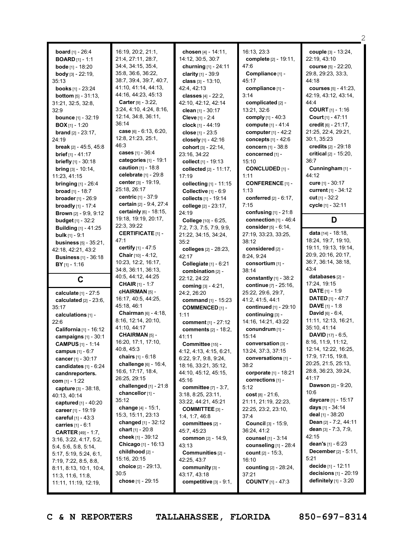|                                           |                              |                                           |                                                  | 2                                                           |
|-------------------------------------------|------------------------------|-------------------------------------------|--------------------------------------------------|-------------------------------------------------------------|
| <b>board</b> $[1] - 26:4$                 | 16:19, 20:2, 21:1,           | chosen [4] - 14:11,                       | 16:13, 23:3                                      | couple [3] - 13:24,                                         |
| <b>BOARD</b> $[1] - 1:1$                  | 21:4, 27:11, 28:7,           | 14:12, 30:5, 30:7                         | complete [2] - 19:11,                            | 22:19, 43:10                                                |
| <b>bode</b> [1] - 18:20                   | 34:4, 34:15, 35:4,           | churning $[1] - 24:11$                    | 47:6                                             | <b>course</b> [5] - 22:20,                                  |
| <b>body</b> $[3] - 22:19$                 | 35:8, 36:6, 36:22,           | clarity $[1] - 39:9$                      | Compliance [1] -                                 | 29:8, 29:23, 33:3,                                          |
| 35:13                                     | 38:7, 39:4, 39:7, 40:7,      | class $[3] - 13:10$ ,                     | 45:17                                            | 44:18                                                       |
| <b>books</b> [1] - 23:24                  | 41:10, 41:14, 44:13,         | 42:4, 42:13                               | compliance [1] -                                 | courses $[5] - 41:23$ ,                                     |
|                                           | 44:16, 44:23, 45:13          | classes [4] - 22:2,                       | 3:14                                             | 42:19, 43:12, 43:14,                                        |
| <b>bottom</b> $[5] - 31:13$ ,             | Carter [9] - 3:22,           | 42:10, 42:12, 42:14                       | complicated [2] -                                | 44:4                                                        |
| 31:21, 32:5, 32:8,<br>32:9                | 3:24, 4:10, 4:24, 8:16,      | clean $[1] - 30:17$                       | 13:21, 32:6                                      | <b>COURT</b> $[1]$ - 1:16                                   |
| <b>bounce</b> [1] - 32:19                 | 12:14, 34:8, 36:11,          | Cleve [1] - 2:4                           | comply $[1] - 40:3$                              | Court $[1] - 47:11$                                         |
| <b>BOX</b> [1] - 1:20                     | 36:14                        | clock $[1] - 44:19$                       | compute [1] - 41:4                               | credit [6] - 21:17,                                         |
| <b>brand</b> [2] - 23:17,                 | case $[6] - 6:13, 6:20,$     | close [1] - 23:5                          | computer $[1] - 42:2$                            | 21:25, 22:4, 29:21,                                         |
| 24:19                                     | 12:8, 21:23, 25:1,           | closely [1] - 42:16                       | concepts $[1] - 42:6$                            | 30:1, 35:23                                                 |
| <b>break</b> $[2] - 45:5, 45:8$           | 46:3                         | cohort [3] - 22:14,                       | <b>concern</b> $[1] - 38:8$                      | credits [2] - 29:18                                         |
| <b>brief</b> $[1] - 41:17$                | cases [1] - 36:4             | 23:16, 34:22                              | concerned [1] -                                  | critical [2] - 15:20,                                       |
| <b>briefly</b> $[1]$ - 30:18              | categories [1] - 19:1        | collect [1] - 19:13                       | 15:10                                            | 36:7                                                        |
| <b>bring</b> $[3] - 10:14$ ,              | <b>caution</b> $[1] - 18:8$  | collected [2] - 11:17,                    | CONCLUDED [1] -                                  | Cunningham [1] -                                            |
| 11:23, 41:15                              | celebrate [1] - 29:8         | 17:19                                     | 1:11                                             | 44:12                                                       |
| <b>bringing</b> $[1] - 26:4$              | center [3] - 19:19,          | collecting [1] - 11:15                    | <b>CONFERENCE [1] -</b>                          | cure [1] - 30:17                                            |
| <b>broad</b> $[1]$ - 18:7                 | 25:18, 26:17                 | Collective [1] - 6:9                      | 1:13                                             | current [1] - 34:12                                         |
| <b>broader</b> $[1] - 26:9$               | <b>centric</b> $[1] - 37:9$  | collects [1] - 19:14                      | conferred [2] - 6:17,                            | cut $[1] - 32:2$                                            |
| <b>broadly</b> $[1] - 17:4$               | certain [2] - 9:4, 27:4      | college [2] - 23:17,                      | 7:15                                             | cycle [1] - 32:11                                           |
| <b>Brown</b> [2] - 9:9, 9:12              | certainly [6] - 18:15,       | 24:19                                     | confusing $[1]$ - 21:8                           |                                                             |
| <b>budget</b> [1] - 32:2                  | 19:18, 19:19, 20:17,         | College [10] - 6:25,                      | connection $[1] - 46:4$                          | D                                                           |
| <b>Building</b> [1] - 41:25               | 22:3, 39:22                  | 7:2, 7:3, 7:5, 7:9, 9:9,                  | consider [5] - 6:14.                             |                                                             |
| <b>bulk</b> $[1]$ - 9:1                   | <b>CERTIFICATE [1] -</b>     | 21:22, 34:15, 34:24,                      | 27:19, 33:23, 33:25,                             | data [14] - 18:18,                                          |
| <b>business</b> $[5] - 35:21$ ,           | 47:1                         | 35:2                                      | 38:12                                            | 18:24, 19:7, 19:10,                                         |
| 42:18, 42:21, 43:2                        | certify [1] - 47:5           | colleges [2] - 28:23,                     | considered [2] -                                 | 19:11, 19:13, 19:14,                                        |
| <b>Business</b> $[1] - 36:18$             | <b>Chair</b> $[10] - 4:12$ , | 42:17                                     | 8:24, 9:24                                       | 20:9, 20:16, 20:17,                                         |
|                                           |                              |                                           |                                                  |                                                             |
|                                           | 10:23, 12:2, 16:17,          |                                           |                                                  | 36:7, 36:14, 38:18,                                         |
| <b>BY</b> [1] - 1:16                      | 34:8, 36:11, 36:13,          | Collegiate [1] - 6:21                     | consortium [1] -<br>38:14                        | 43:4                                                        |
|                                           | 40:5, 44:12, 44:25           | combination [2] -                         |                                                  | databases [2] -                                             |
| C                                         | <b>CHAIR</b> $[1] - 1:7$     | 22:12, 24:22                              | constantly $[1]$ - 38:2<br>continue [7] - 25:16, | 17:24, 19:15                                                |
| calculate $[1] - 27:5$                    | cHAIRMAN [5] -               | coming [3] - 4:21,<br>24:2, 26:20         | 25:22, 29:6, 29:7,                               | <b>DATE</b> $[1] - 1:9$                                     |
| calculated $[2] - 23:6$ ,                 | 16:17, 40:5, 44:25,          | command [1] - 15:23                       | 41:2, 41:5, 44:1                                 | <b>DATED</b> $[1] - 47:7$                                   |
| 35:17                                     | 45:18, 46:1                  | <b>COMMENCED [1] -</b>                    | continued [1] - 29:10                            | <b>DAVE</b> $[1] - 1:8$                                     |
| calculations $[1]$ -                      | Chairman [6] - 4:18,         | 1:11                                      | continuing [3] -                                 | <b>David</b> $[6] - 6:4$ ,                                  |
| 22:6                                      | 8:16, 12:14, 20:10,          | comment [1] - 27:12                       | 14:16, 14:21, 43:22                              | 11:11, 12:13, 16:21,                                        |
| California [1] - 16:12                    | 41:10, 44:17                 | comments [2] - 18:2,                      | conundrum $[1]$ -                                | 35:10, 41:14                                                |
| campaigns [1] - 30:1                      | CHAIRMAN <sup>[5]</sup> -    | 41:11                                     | 15:14                                            | <b>DAVID</b> $[17] - 6:5$ ,                                 |
| <b>CAMPUS</b> $[1] - 1:14$                | 16:20, 17:1, 17:10,          | Committee [15] -                          | conversation [3] -                               | 8:16, 11:9, 11:12,                                          |
| campus $[1] - 6:7$                        | 40:8, 45:3                   | 4:12, 4:13, 4:15, 6:21,                   | 13:24, 37:3, 37:15                               | 12:14, 12:22, 16:25,                                        |
| cancer [1] - 30:17                        | chairs [1] - 6:18            | 6:22, 9:7, 9:8, 9:24,                     | conversations [1] -                              | 17:9, 17:15, 19:8,                                          |
| candidates $[1] - 6:24$                   | challenge [6] - 16:4,        | 18:16, 33:21, 35:12,                      | 38:2                                             | 20:25, 21:5, 25:13,                                         |
| candnreporters.                           | 16:6, 17:17, 18:4,           | 44:10, 45:12, 45:15,                      | corporate [1] - 18:21                            | 28:8, 36:23, 39:24,                                         |
| com $[1] - 1:22$                          | 26:25, 29:15                 | 45:16                                     | corrections $[1]$ -                              | 41:17                                                       |
| capture [3] - 38:18,                      | challenged $[1]$ - 21:8      | <b>committee</b> $[7] - 3:7$ ,            | 5:12                                             | <b>Dawson</b> $[2] - 9:20$ ,                                |
| 40:13, 40:14                              | chancellor $[1]$ -           | 3:18, 8:25, 23:11,                        | cost $[8] - 21:6$ ,                              | 10:6                                                        |
| captured [1] - 40:20                      | 35:12                        | 33:22, 44:21, 45:21                       | 21:11, 21:19, 22:23,                             | daycare [1] - 15:17                                         |
| career [1] - 19:19                        | change [4] - 15:1,           | <b>COMMITTEE [3] -</b>                    | 22:25, 23:2, 23:10,                              | days [1] - 34:14                                            |
| <b>careful</b> $[1] - 43:3$               | 15:3, 15:11, 23:13           | 1:4, 1:7, 46:8                            | 37:4                                             | deal $[1]$ - 38:20                                          |
| carries [1] - 6:1                         | changed [1] - 32:12          | committees [2] -                          | Council [3] - 15:9,                              | <b>Dean</b> $[2] - 7:2, 44:11$                              |
| <b>CARTER</b> [49] - 1:7,                 | <b>chart</b> $[1] - 20.8$    | 45:7, 45:23                               | 36:24, 41:2                                      | dean $[3] - 7:3, 7:9,$                                      |
| 3:16, 3:22, 4:17, 5:2,                    | cheek [1] - 39:12            | <b>common</b> [2] - 14:9,                 | counsel [1] - 3:14                               | 42:15                                                       |
| 5:4, 5:6, 5:8, 5:14,                      | <b>Chicago</b> $[1] - 16:13$ | 43:13                                     | counseling [1] - 28:4                            | dean's $[1] - 6:23$                                         |
| 5:17, 5:19, 5:24, 6:1,                    | childhood [2] -              | Communities [2] -                         | <b>count</b> $[2] - 15:3$                        | <b>December</b> $[2] - 5:11$ ,                              |
| 7:19, 7:22, 8:5, 8:8,                     | 15:16, 20:15                 | 42:25, 43:7                               | 16:10                                            | 5:21                                                        |
| 8:11, 8:13, 10:1, 10:4,                   | choice [2] - 29:13,          | community [3] -                           | <b>counting</b> $[2] - 28:24$ ,                  | decide [1] - 12:11                                          |
| 11:3, 11:6, 11:8,<br>11:11, 11:19, 12:19, | 30:5<br>chose [1] - 29:15    | 43:17, 43:18<br>competitive $[3] - 9:1$ , | 37:21<br><b>COUNTY</b> $[1] - 47:3$              | <b>decisions</b> $[1] - 20:19$<br>definitely $[1]$ - $3:20$ |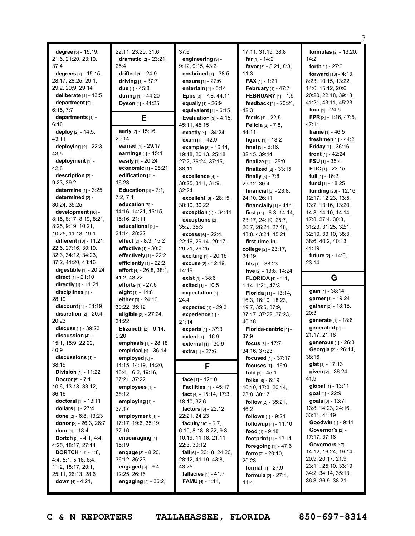**degree** [5] - 15:19, 21:6, 21:20, 23:10, 37:4 **degrees** [7] - 15:15, 28:17, 28:25, 29:1, 29:2, 29:9, 29:14 **deliberate** [1] - 43:5 **department** [2] - 6:15, 7:7 **departments** [1] - 6:18 **deploy** [2] - 14:5, 43:11 **deploying** [2] - 22:3, 43:5 **deployment** [1] - 42:8 **description** [2] - 9:23, 39:2 **determine** [1] - 3:25 **determined** [2] - 30:24, 35:25 **development** [10] - 8:15, 8:17, 8:19, 8:21, 8:25, 9:19, 10:21, 10:25, 11:18, 19:1 **different** [10] - 11:21, 22:6, 27:16, 30:19, 32:3, 34:12, 34:23, 37:2, 41:20, 43:16 **digestible** [1] - 20:24 **direct** [1] - 21:10 **directly** [1] - 11:21 **disciplines** [1] - 28:19 **discount** [1] - 34:19 **discretion** [2] - 20:4, 20:23 **discuss** [1] - 39:23 **discussion** [4] - 15:1, 15:9, 22:22, 40:9 **discussions** [1] - 38:19 **Division** [1] - 11:22 **Doctor** [5] - 7:1, 10:6, 13:18, 33:12, 36:16 **doctoral** [1] - 13:11 **dollars** [1] - 27:4 **done** [2] - 6:8, 13:23 **donor** [2] - 26:3, 26:7 **door** [1] - 18:4 **Dortch** [5] - 4:1, 4:4, 4:25, 18:17, 27:14 **DORTCH** [11] - 1:8, 4:4, 5:1, 5:18, 8:4, 11:2, 18:17, 20:1, 25:11, 26:13, 28:6 **down** [4] - 4:21,

22:11, 23:20, 31:6 **dramatic** [2] - 23:21, 25:4 **drifted** [1] - 24:9 **driving** [1] - 37:7 **due** [1] - 45:8 **during** [1] - 44:20 **Dyson** [1] - 41:25 **E early** [2] - 15:16, 20:14 **earned** [1] - 29:17 **earnings** [1] - 15:4 **easily** [1] - 20:24 **economic** [1] - 28:21 **edification** [1] - 16:23 **Education** [3] - 7:1, 7:2, 7:4 **education** [5] - 14:16, 14:21, 15:15, 15:16, 21:11 **educational** [2] - 21:14, 28:22 **effect** [2] - 8:3, 15:2 **effective** [1] - 30:3 **effectively** [1] - 22:2 **efficiently** [1] - 22:2 **effort** [4] - 26:8, 38:1, 41:2, 43:22 **efforts** [1] - 27:6 **eight** [1] - 14:8 **either** [3] - 24:10, 30:22, 35:12 **eligible** [2] - 27:24, 31:22 **Elizabeth** [2] - 9:14, 9:20 **emphasis** [1] - 28:18 **empirical** [1] - 36:14 **employed** [8] -14:15, 14:19, 14:20, 15:4, 16:2, 19:16, 37:21, 37:22 **employees** [1] - 38:12 **employing** [1] - 37:17 **employment** [4] - 17:17, 19:6, 35:19, 37:16 **encouraging** [1] - 15:19 **engage** [3] - 8:20, 36:12, 36:23 **engaged** [3] - 9:4, 12:25, 26:16 **engaging** [2] - 36:2,

37:6 **engineering** [3] - 9:12, 9:15, 43:2 **enshrined** [1] - 38:5 **ensure** [1] - 27:6 **entertain** [1] - 5:14 **Epps** [3] - 7:8, 44:11 **equally** [1] - 26:9 **equivalent** [1] - 6:15 **Evaluation** [3] - 4:15, 45:11, 45:15 **exactly** [1] - 34:24 **exam** [1] - 42:9 **example** [8] - 16:11, 19:18, 20:13, 25:18, 27:2, 36:24, 37:15, 38:11 **excellence** [4] - 30:25, 31:1, 31:9, 32:24 **excellent** [3] - 28:15, 30:10, 30:22 **exception** [1] - 34:11 **exceptions** [2] - 35:2, 35:3 **excess** [6] - 22:4, 22:16, 29:14, 29:17, 29:21, 29:25 **exciting** [1] - 20:16 **excuse** [2] - 12:19, 14:19 **exist** [1] - 38:6 **exited** [1] - 10:5 **expectation** [1] - 24:4 **expected** [1] - 29:3 **experience** [1] - 21:14 **experts** [1] - 37:3 **extent** [1] - 16:9 **external** [1] - 30:9 **extra** [1] - 27:6 **F face** [1] - 12:10 **Facilities** [1] - 45:17 **fact** [4] - 15:14, 17:3, 18:10, 32:6 **factors** [3] - 22:12, 22:21, 24:23 **faculty** [10] - 6:7, 6:10, 8:18, 8:22, 9:3, 10:19, 11:18, 21:11, 22:3, 30:12 **fall** [6] - 23:18, 24:20, 28:12, 41:19, 43:8, 43:25 **fallacies** [1] - 41:7 **FAMU** [4] - 1:14,

17:11, 31:19, 38:8 **far** [1] - 14:2 **favor** [3] - 5:21, 8:8, 11:3 **FAX** [1] - 1:21 **February** [1] - 47:7 **FEBRUARY** [1] - 1:9 **feedback** [2] - 20:21,  $42.3$ **feeds** [1] - 22:5 **Felicia** [2] - 7:8, 44:11 **figure** [1] - 18:2 **final** [3] - 6:16, 32:15, 39:14 **finalize** [1] - 25:9 **finalized** [2] - 33:15 **finally** [3] - 7:8, 29:12, 30:4 **financial** [3] - 23:8, 24:10, 26:11 **financially** [1] - 41:1 **first** [11] - 6:3, 14:14, 23:17, 24:19, 25:7, 26:7, 26:21, 27:18, 43:8, 43:24, 45:21 **first-time-incollege** [2] - 23:17, 24:19 **fits** [1] - 38:23 **five** [2] - 13:8, 14:24 **FLORIDA** [4] - 1:1, 1:14, 1:21, 47:3 **Florida** [11] - 13:14, 16:3, 16:10, 18:23, 19:7, 35:5, 37:9, 37:17, 37:22, 37:23, 40:16 **Florida-centric** [1] - 37:9 **focus** [3] - 17:7, 34:16, 37:23 **focused** [1] - 37:17 **focuses** [1] - 16:9 **fold** [1] - 45:1 **folks** [6] - 6:19, 16:10, 17:3, 20:14, 23:8, 38:17 **follow** [2] - 35:21, 46:2 **follows** [1] - 9:24 **followup** [1] - 11:10 **food** [1] - 9:18 **footprint** [1] - 13:11 **foregoing** [1] - 47:6 **form** [2] - 20:10, 20:23 **formal** [1] - 27:9 **formula** [2] - 27:1, 41:4

**formulas** [2] - 13:20,  $14.2$ **forth** [1] - 27:6 **forward** [13] - 4:13, 8:23, 10:15, 13:22, 14:6, 15:12, 20:6, 20:20, 22:18, 39:13, 41:21, 43:11, 45:23 **four** [1] - 24:5 **FPR** [3] - 1:16, 47:5, 47:11 **frame** [1] - 46:5 **freshmen** [1] - 44:2 **Friday** [1] - 36:16 **front** [1] - 42:24 **FSU** [1] - 35:4 **FTIC** [1] - 23:15 **full** [1] - 16:2 **fund** [1] - 18:25 **funding** [23] - 12:16, 12:17, 12:23, 13:5, 13:7, 13:16, 13:20, 14:8, 14:10, 14:14, 17:8, 27:4, 30:8, 31:23, 31:25, 32:1, 32:10, 33:10, 38:3, 38:6, 40:2, 40:13, 41:19 **future** [2] - 14:6, 23:14 **G gain** [1] - 38:14 **garner** [1] - 19:24 **gather** [2] - 18:18, 20:3 **generate** [1] - 18:6 **generated** [2] - 21:17, 21:18 **generous** [1] - 26:3 **Georgia** [2] - 26:14, 38:16 **gist** [1] - 17:13 **given** [2] - 36:24, 41:9 **global** [1] - 13:11 **goal** [1] - 22:9 **goals** [6] - 13:7, 13:8, 14:23, 24:16, 33:11, 41:19 **Goodwin** [1] - 9:11

२

**C & N REPORTERS TALLAHASSEE, FLORIDA 850-697-8314**

**Governor's** [2] - 17:17, 37:16 **Governors** [17] - 14:12, 16:24, 19:14, 20:9, 20:17, 21:9, 23:11, 25:10, 33:19, 34:2, 34:14, 35:13, 36:3, 36:9, 38:21,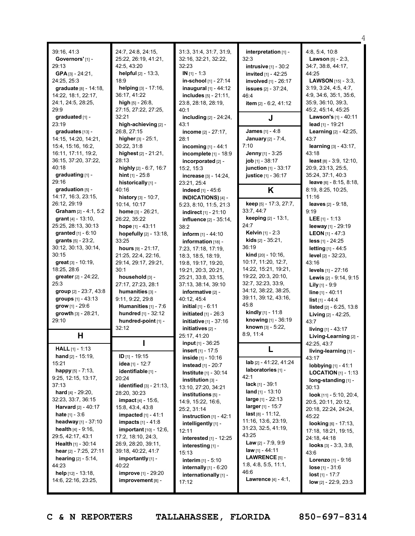| 39:16, 41:3<br>Governors' [1] -<br>29:13<br>GPA [3] - 24:21,<br>24:25, 25:3<br>graduate [8] - 14:18,<br>14:22, 18:1, 22:17,<br>24:1, 24:5, 28:25,<br>29:9                                                                                                                                                                                                                                                                                           | 24:7, 24:8, 24:15,<br>25:22, 26:19, 41:21,<br>42:5, 43:20<br><b>helpful</b> $[2] - 13:3$ ,<br>18:9<br>helping [3] - 17:16,<br>36:17, 41:22<br>high $[5] - 26:8$ ,<br>27:15, 27:22, 27:25,                                                                                                                                                                                                                                          | 31:3, 31:4, 31:7, 31:9,<br>32:16, 32:21, 32:22,<br>32:23<br>$IN [1] - 1:3$<br>in-school [1] - 27:14<br>inaugural $[1] - 44:12$<br>includes $[5] - 21:11$ ,<br>23:8, 28:18, 28:19,<br>40:1                                                                                                                                                                                                                                                                   | interpretation [1] -<br>32:3<br><b>intrusive</b> [1] - 30:2<br>invited [1] - 42:25<br>involved [1] - 26:17<br><b>issues</b> [2] - 37:24,<br>46:4<br>item [2] - 6:2, 41:12                                                                                                                                                                                                                             | 4:8, 5:4, 10:8<br><b>Lawson</b> $[5] - 2:3$ ,<br>34:7, 38:8, 44:17,<br>44:25<br><b>LAWSON</b> $[15] - 3:3$ ,<br>3:19, 3:24, 4:5, 4:7,<br>4:9, 34:6, 35:1, 35:6,<br>35:9, 36:10, 39:3,<br>45:2, 45:14, 45:25                                                                                                                                                                                                                                         |
|-----------------------------------------------------------------------------------------------------------------------------------------------------------------------------------------------------------------------------------------------------------------------------------------------------------------------------------------------------------------------------------------------------------------------------------------------------|------------------------------------------------------------------------------------------------------------------------------------------------------------------------------------------------------------------------------------------------------------------------------------------------------------------------------------------------------------------------------------------------------------------------------------|-------------------------------------------------------------------------------------------------------------------------------------------------------------------------------------------------------------------------------------------------------------------------------------------------------------------------------------------------------------------------------------------------------------------------------------------------------------|-------------------------------------------------------------------------------------------------------------------------------------------------------------------------------------------------------------------------------------------------------------------------------------------------------------------------------------------------------------------------------------------------------|-----------------------------------------------------------------------------------------------------------------------------------------------------------------------------------------------------------------------------------------------------------------------------------------------------------------------------------------------------------------------------------------------------------------------------------------------------|
| graduated [1] -<br>23:19                                                                                                                                                                                                                                                                                                                                                                                                                            | 32:21<br>high-achieving [2] -                                                                                                                                                                                                                                                                                                                                                                                                      | including [2] - 24:24,<br>43:1                                                                                                                                                                                                                                                                                                                                                                                                                              | J                                                                                                                                                                                                                                                                                                                                                                                                     | Lawson's [1] - 40:11<br>lead $[1]$ - 19:21                                                                                                                                                                                                                                                                                                                                                                                                          |
| qraduates [13] -<br>14:15, 14:20, 14:21,<br>15:4, 15:16, 16:2,<br>16:11, 17:11, 19:2,<br>36:15, 37:20, 37:22,<br>40:18<br>graduating [1] -<br>29:16                                                                                                                                                                                                                                                                                                 | 26:8, 27:15<br>higher $[3] - 25:1$ ,<br>30:22, 31:8<br>highest [2] - 21:21,<br>28:13<br>highly [2] - 6:7, 16:7<br><b>hint</b> $[1] - 25:8$<br>historically [1] -                                                                                                                                                                                                                                                                   | income $[2] - 27:17$ ,<br>28:1<br>incoming $[1] - 44:1$<br>incomplete [1] - 18:9<br>incorporated [2] -<br>15:2, 15:3<br>increase [3] - 14:24,<br>23:21, 25:4                                                                                                                                                                                                                                                                                                | James [1] - 4:8<br>January [2] - 7:4,<br>7:10<br>Jenny [1] - 3:25<br>job [1] - 38:17<br>junction [1] - 33:17<br>justice [1] - 36:17                                                                                                                                                                                                                                                                   | Learning [2] - 42:25,<br>43:7<br><b>learning</b> $[3] - 43:17$ ,<br>43:18<br>least $[8] - 3:9, 12:10,$<br>20:9, 23:13, 25:5,<br>35:24, 37:1, 40:3<br>leave [6] - 8:15, 8:18,                                                                                                                                                                                                                                                                        |
| graduation [5] -                                                                                                                                                                                                                                                                                                                                                                                                                                    | 40:16                                                                                                                                                                                                                                                                                                                                                                                                                              | indeed [1] - 45:6                                                                                                                                                                                                                                                                                                                                                                                                                                           | K                                                                                                                                                                                                                                                                                                                                                                                                     | 8:19, 8:25, 10:25,                                                                                                                                                                                                                                                                                                                                                                                                                                  |
| 14:17, 16:3, 23:15,<br>26:12, 29:19<br>Graham [2] - 4:1, 5:2<br>grant $[4] - 13:10$ ,<br>25:25, 28:13, 30:13<br><b>granted</b> $[1] - 6:10$<br>grants $[5] - 23:2$ ,<br>30:12, 30:13, 30:14,<br>30:15<br>great [3] - 10:19,<br>18:25, 28:6<br>greater [2] - 24:22,<br>25:3<br>group [2] - 23:7, 43:8<br>groups [1] - 43:13<br>grow [1] - 29:6<br>growth [3] - 28:21,<br>29:10<br>Н                                                                  | history $[3] - 10:7$ ,<br>10:14, 10:17<br>home [3] - 26:21,<br>26:22, 35:22<br>hope [1] - 43:11<br>hopefully [2] - 13:18,<br>33:25<br>hours $[9] - 21:17$ ,<br>21:25, 22:4, 22:16,<br>29:14, 29:17, 29:21,<br>30:1<br>household [3] -<br>27:17, 27:23, 28:1<br>humanities [3] -<br>9:11, 9:22, 29:8<br>Humanities [1] - 7:6<br>hundred [1] - 32:12<br>hundred-point [1] -<br>32:12                                                 | INDICATIONS) $[4]$ -<br>5:23, 8:10, 11:5, 21:3<br>indirect [1] - 21:10<br>influence [2] - 35:14,<br>38:2<br>inform $[1] - 44:10$<br>information [18] -<br>7:23, 17:18, 17:19,<br>18:3, 18:5, 18:19,<br>19:8, 19:17, 19:20,<br>19:21, 20:3, 20:21,<br>25:21, 33:8, 33:15,<br>37:13, 38:14, 39:10<br>informative [2] -<br>40:12, 45:4<br><b>initial</b> $[1] - 6:11$<br>initiated $[1]$ - 26:3<br>initiative [1] - 37:16<br>initiatives [2] -<br>25:17, 41:20 | keep [5] - 17:3, 27:7,<br>33:7, 44:7<br>keeping [2] - 13:1,<br>24:7<br>Kelvin [1] - 2:3<br><b>kids</b> $[2] - 35:21$ ,<br>36:19<br><b>kind</b> $[20] - 10:16$ ,<br>10:17, 11:20, 12:7,<br>14:22, 15:21, 19:21,<br>19:22, 20:3, 20:10,<br>32:7, 32:23, 33:9,<br>34:12, 38:22, 38:25,<br>39:11, 39:12, 43:16,<br>45:8<br>kindly [1] - 11:8<br>knowing [1] - 36:19<br>known [3] - 5:22,<br>8:9, 11:4     | 11:16<br><b>leaves</b> $[2] - 9:18$ ,<br>9:19<br>LEE $[1] - 1:13$<br>leeway [1] - 29:19<br><b>LEON</b> [1] - 47:3<br>less [1] - 24:25<br><b>letting</b> $[1] - 44:5$<br><b>level</b> $[2] - 32:23$ ,<br>43:16<br>levels [1] - 27:16<br><b>Lewis</b> $[2] - 9:14, 9:15$<br><b>Lily</b> $[1]$ - 9:9<br>line [1] - 40:11<br>$list$ [1] - 44:4<br>listed [2] - 6:25, 13:8<br>Living [2] - 42:25,<br>43:7<br>living [1] - 43:17<br>Living-Learning [2] - |
| <b>HALL</b> $[1] - 1:13$                                                                                                                                                                                                                                                                                                                                                                                                                            |                                                                                                                                                                                                                                                                                                                                                                                                                                    | input [1] - 36:25<br>insert $[1] - 17:5$                                                                                                                                                                                                                                                                                                                                                                                                                    |                                                                                                                                                                                                                                                                                                                                                                                                       | 42:25, 43:7<br>living-learning [1] -                                                                                                                                                                                                                                                                                                                                                                                                                |
| <b>hand</b> $[2] - 15:19$ ,<br>15:21<br><b>happy</b> $[5] - 7:13$ ,<br>9:25, 12:15, 13:17,<br>37:13<br><b>hard</b> $[4] - 29:20$ ,<br>32:23, 33:7, 36:15<br><b>Harvard</b> $[2] - 40:17$<br><b>hate</b> $[1] - 3:6$<br>headway $[1]$ - 37:10<br><b>health</b> $[4] - 9:16$ ,<br>29:5, 42:17, 43:1<br><b>Health</b> $[1] - 30:14$<br>hear $[2] - 7:25, 27:11$<br><b>hearing</b> $[2] - 5:14$ ,<br>44:23<br>help [12] - 13:18,<br>14:6, 22:16, 23:25, | <b>ID</b> [1] - 19:15<br><b>idea</b> [1] - 12:7<br>identifiable [1] -<br>20:24<br>identified [3] - 21:13,<br>28:20, 30:23<br><b>impact</b> $[4] - 15:6$ ,<br>15:8, 43:4, 43:8<br><b>impacted</b> $[1] - 41:1$<br><b>impacts</b> $[1] - 41:8$<br><b>important</b> $[10] - 12:6$<br>17:2, 18:10, 24:3,<br>26:9, 28:20, 39:11,<br>39:18, 40:22, 41:7<br>importantly [1] -<br>40:22<br><b>improve</b> [1] - 29:20<br>improvement [8] - | inside [1] - 10:16<br><b>instead</b> [1] - 20:7<br><b>Institute</b> $[1] - 30:14$<br>institution [3] -<br>13:10, 27:20, 34:21<br>institutions $[5]$ -<br>14:9, 15:22, 16:6,<br>25:2, 31:14<br>instruction $[1]$ - 42:1<br>intelligently [1] -<br>12:11<br>interested [1] - 12:25<br>interesting [1] -<br>15:13<br>interim [1] - 5:10<br>internally $[1]$ - $6:20$<br>internationally [1] -<br>17:12                                                         | lab [2] - 41:22, 41:24<br>laboratories [1] -<br>42:1<br>$lack [1] - 39:1$<br><b>land</b> $[1] - 13:10$<br><b>large</b> $[1]$ - 22:13<br>$larger_{[1]} - 15:7$<br><b>last</b> $[8] - 11:12$ ,<br>11:16, 13:6, 23:19,<br>31:23, 32:5, 41:19,<br>43:25<br><b>Law</b> $[2] - 7:9, 9:9$<br>$law_{[1]} - 44:11$<br><b>LAWRENCE</b> $[5]$ -<br>1:8, 4:8, 5:5, 11:1,<br>46:6<br><b>Lawrence</b> $[4] - 4:1$ , | 43:17<br>lobbying [1] - 41:1<br><b>LOCATION</b> $[1]$ - 1:13<br>long-standing $[1]$ -<br>30:13<br>look $[11] - 5:10, 20:4,$<br>20:5, 20:11, 20:12,<br>20:18, 22:24, 24:24,<br>45:22<br>looking [6] - 17:13,<br>17:18, 18:21, 19:15,<br>24:18, 44:18<br>looks $[3] - 3:3, 3:8,$<br>43:6<br><b>Lorenzo</b> $[1]$ - 9:16<br><b>lose</b> $[1] - 31:6$<br><b>lost</b> $[1] - 17:7$<br>low $[2] - 22:9, 23:3$                                             |

**C & N REPORTERS TALLAHASSEE, FLORIDA 850-697-8314**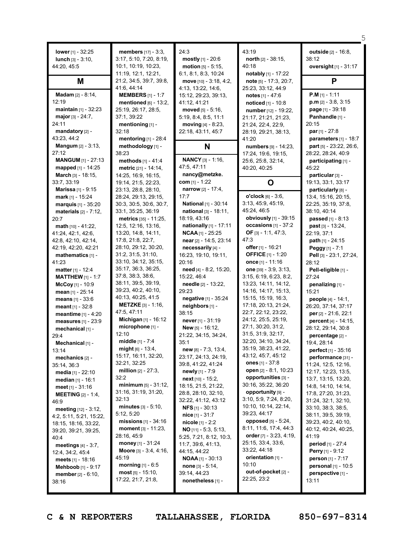| lower $[1]$ - 32:25<br><b>lunch</b> $[3] - 3:10$ ,<br>44:20, 45:5                                                                                                                                                                                                                                                                                                                                                                                                                                                 | members [17] - 3:3,<br>3:17, 5:10, 7:20, 8:19,<br>10:1, 10:19, 10:23,<br>11:19, 12:1, 12:21,                                                                                                                                                                                                                                                                                                                                                                                                                                                                                            | 24:3<br><b>mostly</b> $[1] - 20:6$<br>motion [5] - 5:15.<br>6:1, 8:1, 8:3, 10:24                                                                                                                                                                                                                                                                                                                                                                                                                                                            | 43:19<br>north $[2] - 38:15$ ,<br>40:18<br>notably [1] - 17:22                                                                                                                                                                                                                                                                                                                                                                                                                                                                                                                                              | <b>outside</b> $[2] - 16:8$<br>38:12<br>oversight [1] - 31:17                                                                                                                                                                                                                                                                                                                                                                                                                                                                                                    |
|-------------------------------------------------------------------------------------------------------------------------------------------------------------------------------------------------------------------------------------------------------------------------------------------------------------------------------------------------------------------------------------------------------------------------------------------------------------------------------------------------------------------|-----------------------------------------------------------------------------------------------------------------------------------------------------------------------------------------------------------------------------------------------------------------------------------------------------------------------------------------------------------------------------------------------------------------------------------------------------------------------------------------------------------------------------------------------------------------------------------------|---------------------------------------------------------------------------------------------------------------------------------------------------------------------------------------------------------------------------------------------------------------------------------------------------------------------------------------------------------------------------------------------------------------------------------------------------------------------------------------------------------------------------------------------|-------------------------------------------------------------------------------------------------------------------------------------------------------------------------------------------------------------------------------------------------------------------------------------------------------------------------------------------------------------------------------------------------------------------------------------------------------------------------------------------------------------------------------------------------------------------------------------------------------------|------------------------------------------------------------------------------------------------------------------------------------------------------------------------------------------------------------------------------------------------------------------------------------------------------------------------------------------------------------------------------------------------------------------------------------------------------------------------------------------------------------------------------------------------------------------|
| Μ                                                                                                                                                                                                                                                                                                                                                                                                                                                                                                                 | 21:2, 34:5, 39:7, 39:8,<br>41:6, 44:14                                                                                                                                                                                                                                                                                                                                                                                                                                                                                                                                                  | move [10] - 3:18, 4:2,<br>4:13, 13:22, 14:6,                                                                                                                                                                                                                                                                                                                                                                                                                                                                                                | note [5] - 17:3, 20:7,<br>25:23, 33:12, 44:9                                                                                                                                                                                                                                                                                                                                                                                                                                                                                                                                                                | P                                                                                                                                                                                                                                                                                                                                                                                                                                                                                                                                                                |
| Madam [2] - 8:14,<br>12:19<br>maintain $[1]$ - 32:23<br>major $[3] - 24:7$ ,<br>24:11<br>mandatory [2] -<br>43:23, 44:2                                                                                                                                                                                                                                                                                                                                                                                           | <b>MEMBERS</b> [1] - 1:7<br>mentioned $[6]$ - 13:2,<br>25:19, 26:17, 28:5,<br>37:1, 39:22<br>mentioning [1] -<br>32:18<br>mentoring [1] - 28:4                                                                                                                                                                                                                                                                                                                                                                                                                                          | 15:12, 29:23, 39:13,<br>41:12, 41:21<br>moved $[5] - 5:16$ ,<br>5:19, 8:4, 8:5, 11:1<br>moving [4] - 8:23,<br>22:18, 43:11, 45:7                                                                                                                                                                                                                                                                                                                                                                                                            | notes $[1] - 47:6$<br>noticed [1] - 10:8<br>number [12] - 19:22,<br>21:17, 21:21, 21:23,<br>21:24, 22:4, 22:9,<br>28:19, 29:21, 38:13,<br>41:20                                                                                                                                                                                                                                                                                                                                                                                                                                                             | $P.M$ <sub>[1]</sub> - 1:11<br>$p.m$ [2] - 3:8, 3:15<br>page [1] - 39:18<br>Panhandle [1] -<br>20:15<br><b>par</b> $[1] - 27:8$<br>parameters $[1] - 18:7$                                                                                                                                                                                                                                                                                                                                                                                                       |
| <b>Mangum</b> $[2] - 3:13$ ,                                                                                                                                                                                                                                                                                                                                                                                                                                                                                      | methodology [1] -                                                                                                                                                                                                                                                                                                                                                                                                                                                                                                                                                                       | N                                                                                                                                                                                                                                                                                                                                                                                                                                                                                                                                           | numbers [9] - 14:23,                                                                                                                                                                                                                                                                                                                                                                                                                                                                                                                                                                                        | part [5] - 23:22, 26:6,                                                                                                                                                                                                                                                                                                                                                                                                                                                                                                                                          |
| 27:12<br><b>MANGUM [1] - 27:13</b><br>mapped [1] - 14:25<br><b>March</b> $[3] - 18:15$                                                                                                                                                                                                                                                                                                                                                                                                                            | 38:23<br>methods [1] - 41:4<br>metric [21] - 14:14,<br>14:25, 16:9, 16:15,                                                                                                                                                                                                                                                                                                                                                                                                                                                                                                              | <b>NANCY</b> [3] - 1:16,<br>47:5, 47:11<br>nancy@metzke.<br>com $[1] - 1:22$                                                                                                                                                                                                                                                                                                                                                                                                                                                                | 17:24, 19:6, 19:15,<br>25:6, 25:8, 32:14,<br>40:20, 40:25                                                                                                                                                                                                                                                                                                                                                                                                                                                                                                                                                   | 28:22, 28:24, 40:9<br>participating [1] -<br>45:22<br>particular [3] -                                                                                                                                                                                                                                                                                                                                                                                                                                                                                           |
| 33:7, 33:19<br><b>Marissa</b> [1] - 9:15                                                                                                                                                                                                                                                                                                                                                                                                                                                                          | 19:14, 21:5, 22:23,<br>23:13, 28:8, 28:10,                                                                                                                                                                                                                                                                                                                                                                                                                                                                                                                                              | <b>narrow</b> [2] - 17:4,                                                                                                                                                                                                                                                                                                                                                                                                                                                                                                                   | O                                                                                                                                                                                                                                                                                                                                                                                                                                                                                                                                                                                                           | 19:13, 33:1, 33:17<br>particularly [8] -                                                                                                                                                                                                                                                                                                                                                                                                                                                                                                                         |
| mark [1] - 15:24<br>marquis [1] - 35:20<br>materials $[2] - 7:12$ ,<br>20:7<br>math [10] - 41:22,<br>41:24, 42:1, 42:6,<br>42:8, 42:10, 42:14,<br>42:19, 42:20, 42:21<br>mathematics $[1]$ -<br>41:23<br>matter [1] - 12:4<br><b>MATTHEW</b> [1] - 1:7<br>McCoy [1] - 10:9<br>mean $[1] - 25:14$<br>means [1] - 33:6<br>meant [1] - 32:8<br>meantime [1] - 4:20<br>measures [1] - 23:9<br>mechanical [1] -<br>29:4<br>Mechanical [1] -<br>13:14<br>mechanics $[2]$ -<br>35:14, 36:3<br><b>media</b> $[1]$ - 22:10 | 28:24, 29:13, 29:15,<br>30:3, 30:5, 30:6, 30:7,<br>33:1, 35:25, 36:19<br>metrics [35] - 11:25,<br>12:5, 12:16, 13:16,<br>13:20, 14:8, 14:11,<br>17:8, 21:8, 22:7,<br>28:10, 29:12, 30:20,<br>31:2, 31:5, 31:10,<br>33:10, 34:12, 35:15,<br>35:17, 36:3, 36:25,<br>37:8, 38:3, 38:6,<br>38:11, 39:5, 39:19,<br>39:23, 40:2, 40:10,<br>40:13, 40:25, 41:5<br><b>METZKE</b> $[3] - 1:16$ ,<br>47:5, 47:11<br>Michigan [1] - 16:12<br>microphone [1] -<br>12:10<br>middle [1] - 7:4<br>$mid_{[6]}$ - 13:4,<br>15:17, 16:11, 32:20,<br>32:21, 32:25<br><b>million</b> $[2] - 27:3$ ,<br>32:2 | 17:7<br>National [1] - 30:14<br>national [3] - 18:11,<br>18:19, 43:16<br>nationally [1] - 17:11<br>$NCAA$ [1] - 25:25<br>near [2] - 14:5, 23:14<br>necessarily [4] -<br>16:23, 19:10, 19:11,<br>20:16<br>need [4] - 8:2, 15:20,<br>15:22, 46:4<br>needle [2] - 13:22,<br>29:23<br>negative [1] - 35:24<br>neighbors [1] -<br>38:15<br><b>never</b> [1] - $31:19$<br>New [5] - 16:12,<br>21:22, 34:15, 34:24,<br>35:1<br>new [8] - 7:3, 13:4,<br>23:17, 24:13, 24:19,<br>39:8, 41:22, 41:24<br><b>newly</b> $[1] - 7:9$<br>next [10] - 15:2, | o'clock [6] - 3:6,<br>3:13, 45:9, 45:19,<br>45:24, 46:5<br>obviously [1] - 39:15<br>occasions $[1] - 37:2$<br>OF $[3] - 1:1, 47:3,$<br>47:3<br>offer $[1]$ - 16:21<br><b>OFFICE</b> [1] - 1:20<br>once [1] - 11:16<br>one $[39] - 3:9, 3:13,$<br>3:15, 6:19, 6:23, 8:2,<br>13:23, 14:11, 14:12,<br>14:16, 14:17, 15:13,<br>15:15, 15:19, 16:3,<br>17:18, 20:13, 21:24,<br>22:7, 22:12, 23:22,<br>24:12, 25:5, 25:19,<br>27:1, 30:20, 31:2,<br>31:5, 31:9, 32:17,<br>32:20, 34:10, 34:24,<br>35:19, 38:23, 41:22,<br>43:12, 45:7, 45:12<br>ones $[1] - 37.8$<br>open [2] - 8:1, 10:23<br>opportunities [3] - | 13:4, 15:16, 20:15,<br>22:25, 35:19, 37:8,<br>38:10, 40:14<br>passed [1] - 8:13<br><b>past</b> $[3] - 13:24$ ,<br>22:19, 37:1<br>path [1] - 24:15<br>Peggy [1] - 7:1<br>Pell [3] - 23:1, 27:24,<br>28:12<br>Pell-eligible [1] -<br>27:24<br>penalizing [1] -<br>15:21<br><b>people</b> $[4] - 14:1$ ,<br>26:20, 37:14, 37:17<br>per [2] - 21:6, 22:1<br>percent [4] - 14:15,<br>28:12, 29:14, 30:8<br>percentage [2] -<br>19:4, 28:14<br><b>perfect</b> $[1] - 35:16$<br>performance [31] -<br>11:24, 12:5, 12:16,<br>12:17, 12:23, 13:5,<br>13:7, 13:15, 13:20, |
| <b>median</b> $[1] - 16:1$<br><b>meet</b> [1] - $31:16$<br><b>MEETING</b> $[2] - 1:4$<br>46:9<br><b>meeting</b> $[12] - 3:12$ ,<br>4:2, 5:11, 5:21, 15:22,<br>18:15, 18:16, 33:22,<br>39:20, 39:21, 39:25,<br>40:4<br>meetings $[4] - 3:7$ ,<br>12:4, 34:2, 45:4<br><b>meets</b> $[1]$ - 18:16<br><b>Mehboob</b> $[1]$ - 9:17<br><b>member</b> $[2] - 6:10$ ,<br>38:16                                                                                                                                            | minimum [5] - 31:12,<br>31:16, 31:19, 31:20,<br>32:13<br><b>minutes</b> $[3] - 5:10$ ,<br>5:12, 5:20<br><b>missions</b> $[1] - 34:16$<br>moment $[3] - 11:23$ ,<br>28:16, 45:9<br>money $[1] - 31:24$<br><b>Moore</b> $[3] - 3:4, 4:16,$<br>45:19<br><b>morning</b> $[1] - 6:5$<br>$most [5] - 15:10,$<br>17:22, 21:7, 21:8,                                                                                                                                                                                                                                                            | 18:15, 21:5, 21:22,<br>28:8, 28:10, 32:10,<br>32:22, 41:12, 43:12<br><b>NFS</b> $[1]$ - 30:13<br><b>nice</b> $[1] - 31:7$<br>nicole [1] - 2:2<br>$NO$ [11] - 5:3, 5:13,<br>5:25, 7:21, 8:12, 10:3,<br>11:7, 39:6, 41:13,<br>44:15, 44:22<br><b>NOAA</b> [1] - 30:13<br><b>none</b> $[3] - 5:14$ ,<br>39:14, 44:23<br>nonetheless [1] -                                                                                                                                                                                                      | 30:16, 35:22, 36:20<br>opportunity [9] -<br>3:10, 5:9, 7:24, 8:20,<br>10:10, 10:14, 22:14,<br>39:23, 44:17<br>opposed [5] - 5:24,<br>8:11, 11:6, 17:4, 44:3<br>order $[7] - 3:23, 4:19,$<br>25:15, 33:4, 33:6,<br>33:22, 44:18<br>orientation [1] -<br>10:10<br>out-of-pocket [2] -<br>22:25, 23:2                                                                                                                                                                                                                                                                                                          | 14:8, 14:10, 14:14,<br>17:8, 27:20, 31:23,<br>31:24, 32:1, 32:10,<br>33:10, 38:3, 38:5,<br>38:11, 39:5, 39:19,<br>39:23, 40:2, 40:10,<br>40:12, 40:24, 40:25,<br>41:19<br><b>period</b> $[1] - 27:4$<br><b>Perry</b> [1] - 9:12<br>person [1] - 7:17<br>personal [1] - 10:5<br>perspective [1] -<br>13:11                                                                                                                                                                                                                                                        |

**C & N REPORTERS TALLAHASSEE, FLORIDA 850-697-8314**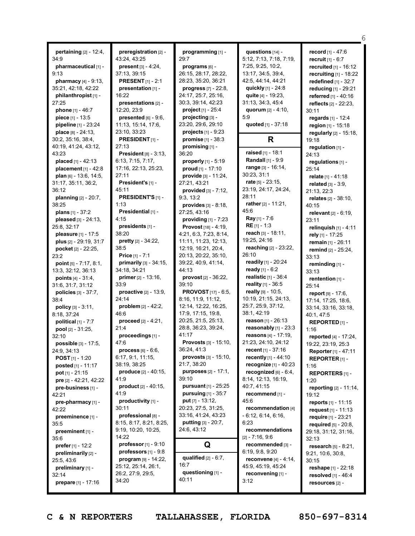**pertaining** [2] - 12:4, 34:9 **pharmaceutical** [1] - 9:13 **pharmacy** [4] - 9:13, 35:21, 42:18, 42:22 **philanthropist** [1] - 27:25 **phone** [1] - 46:7 **piece** [1] - 13:5 **pipeline** [1] - 23:24 **place** [8] - 24:13, 30:2, 35:16, 38:4, 40:19, 41:24, 43:12, 43:23 **placed** [1] - 42:13 **placement** [1] - 42:8 **plan** [6] - 13:6, 14:5, 31:17, 35:11, 36:2, 36:12 **planning** [2] - 20:7, 38:25 **plans** [1] - 37:2 **pleased** [3] - 24:13, 25:8, 32:17 **pleasure** [1] - 17:5 **plus** [2] - 29:19, 31:7 **pocket** [2] - 22:25, 23:2 **point** [5] - 7:17, 8:1, 13:3, 32:12, 36:13 **points** [4] - 31:4, 31:6, 31:7, 31:12 **policies** [3] - 37:7, 38:4 **policy** [3] - 3:11, 8:18, 37:24 **political** [1] - 7:7 **pool** [2] - 31:25, 32:10 **possible** [3] - 17:5, 24:9, 34:13 **POST** [1] - 1:20 **posted** [1] - 11:17 **pot** [1] - 21:15 **pre** [2] - 42:21, 42:22 **pre-business** [1] - 42:21 **pre-pharmacy** [1] - 42:22 **preeminence** [1] - 35:5 **preeminent** [1] - 35:6 **prefer** [1] - 12:2 **preliminarily** [2] - 25:5, 43:6 **preliminary** [1] - 32:14 **prepare** [1] - 17:16

**preregistration** [2] - 43:24, 43:25 **present** [3] - 4:24, 37:13, 39:15 **PRESENT** [1] - 2:1 **presentation** [1] - 16:22 **presentations** [2] - 12:20, 23:9 **presented** [6] - 9:6, 11:13, 15:14, 17:6, 23:10, 33:23 **PRESIDENT** [1] - 27:13 **President** [8] - 3:13, 6:13, 7:15, 7:17, 17:16, 22:13, 25:23, 27:11 **President's** [1] - 45:11 **PRESIDENT'S** [1] - 1:13 **Presidential** [1] - 4:15 **presidents** [1] - 38:20 **pretty** [2] - 34:22, 38:5 **Price** [1] - 7:1 **primarily** [3] - 34:15, 34:18, 34:21 **primer** [2] - 13:16, 33:9 **proactive** [2] - 13:9, 24:14 **problem** [2] - 42:2, 46:6 **proceed** [2] - 4:21, 21:4 **proceedings** [1] - 47:6 **process** [6] - 6:6, 6:17, 9:1, 11:15, 38:19, 38:25 **produce** [2] - 40:15, 41:9 **product** [2] - 40:15, 41:9 **productivity** [1] - 30:11 **professional** [8] - 8:15, 8:17, 8:21, 8:25, 9:19, 10:20, 10:25, 14:22 **professor** [1] - 9:10 **professors** [1] - 9:8 **program** [9] - 14:22, 25:12, 25:14, 26:1, 26:2, 27:9, 29:5, 34:20

**programming** [1] - 29:7 **programs** [6] - 26:15, 28:17, 28:22, 28:23, 35:20, 36:21 **progress** [7] - 22:8, 24:17, 25:7, 25:16, 30:3, 39:14, 42:23 **project** [1] - 25:4 **projecting** [3] - 23:20, 29:6, 29:10 **projects** [1] - 9:23 **promise** [1] - 38:3 **promising** [1] - 36:20 **properly** [1] - 5:19 **proud** [1] - 17:10 **provide** [3] - 11:24, 27:21, 43:21 **provided** [3] - 7:12, 9:3, 13:2 **provides** [3] - 8:18, 27:25, 43:16 **providing** [1] - 7:23 **Provost** [18] - 4:19, 4:21, 6:3, 7:23, 8:14, 11:11, 11:23, 12:13, 12:19, 16:21, 20:4, 20:13, 20:22, 35:10, 39:22, 40:9, 41:14, 44:13 **provost** [2] - 36:22, 39:10 **PROVOST** [17] - 6:5, 8:16, 11:9, 11:12, 12:14, 12:22, 16:25, 17:9, 17:15, 19:8, 20:25, 21:5, 25:13, 28:8, 36:23, 39:24, 41:17 **Provosts** [3] - 15:10, 36:24, 41:3 **provosts** [3] - 15:10, 21:7, 38:20 **purposes** [2] - 17:1, 39:10 **pursuant** [1] - 25:25 **pursuing** [1] - 35:7 **put** [7] - 13:12, 20:23, 27:5, 31:25, 33:16, 41:24, 43:23 **putting** [3] - 20:7, 24:6, 43:12 **Q qualified** [2] - 6:7, 16:7 **questioning** [1] -

**questions** [14] - 5:12, 7:13, 7:18, 7:19, 7:25, 9:25, 10:2, 13:17, 34:5, 39:4, 42:5, 44:14, 44:21 **quickly** [1] - 24:8 **quite** [4] - 19:23, 31:13, 34:3, 45:4 **quorum** [2] - 4:10, 5:9

## **R**

**quoted** [1] - 37:18

**raised** [1] - 18:1 **Randall** [1] - 9:9 **range** [3] - 16:14, 30:23, 31:1 **rate** [5] - 23:15, 23:19, 24:17, 24:24, 28:11 **rather** [2] - 11:21, 45:6 **Ray** [1] - 7:6 **RE** [1] - 1:3 **reach** [3] - 18:11, 19:25, 24:16 **reaching** [2] - 23:22, 26:10 **readily** [1] - 20:24 **ready** [1] - 6:2 **realistic** [1] - 36:4 **reality** [1] - 36:5 **really** [9] - 10:5, 10:19, 21:15, 24:13, 25:7, 25:9, 37:12, 38:1, 42:19 **reason** [1] - 26:13 **reasonably** [1] - 23:3 **reasons** [4] - 17:19, 21:23, 24:10, 24:12 **recent** [1] - 37:16 **recently** [1] - 44:10 **recognize** [1] - 40:23 **recognized** [6] - 6:4, 8:14, 12:13, 16:19, 40:7, 41:15 **recommend** [1] - 45:6 **recommendation** [4] - 6:12, 6:14, 6:16, 6:23 **recommendations** [2] - 7:16, 9:6 **recommended** [3] - 6:19, 9:8, 9:20 **reconvene** [4] - 4:14, 45:9, 45:19, 45:24 **reconvening** [1] - 3:12

**record** [1] - 47:6 **recruit** [1] - 6:7 **recruited** [1] - 16:12 **recruiting** [1] - 18:22 **redefined** [1] - 32:7 **reducing** [1] - 29:21 **referred** [1] - 40:16 **reflects** [2] - 22:23, 30:11 **regards** [1] - 12:4 **region** [1] - 15:18 **regularly** [2] - 15:18, 19:18 **regulation** [1] - 24:13 **regulations** [1] - 25:14 **relate** [1] - 41:18 **related** [3] - 3:9, 21:13, 22:3 **relates** [2] - 38:10, 40:15 **relevant** [2] - 6:19, 23:11 **relinquish** [1] - 4:11 **rely** [1] - 17:25 **remain** [1] - 26:11 **remind** [2] - 25:24, 33:13 **reminding** [1] - 33:13 **rentention** [1] - 25:14 **report** [9] - 17:6, 17:14, 17:25, 18:6, 33:14, 33:16, 33:18, 40:1, 47:5 **REPORTED** [1] - 1:16 **reported** [4] - 17:24, 19:22, 23:19, 25:3 **Reporter** [1] - 47:11 **REPORTER** [1] - 1:16 **REPORTERS** [1] - 1:20 **reporting** [2] - 11:14, 19:12 **reports** [1] - 11:15 **request** [1] - 11:13 **require** [1] - 23:21 **required** [5] - 20:8, 29:18, 31:12, 31:16, 32:13 **research** [5] - 8:21, 9:21, 10:6, 30:8, 30:15 **reshape** [1] - 22:18 **resolved** [1] - 46:4 **resources** [2] -

6

**C & N REPORTERS TALLAHASSEE, FLORIDA 850-697-8314**

40:11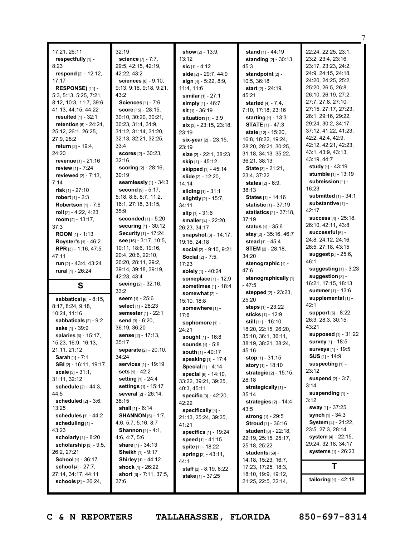| 17:21, 26:11                                   | 32:19                                    | show $[2] - 13:9$ ,               | stand $[1] - 44:19$                        | 22:24, 22:25, 23:1,                        |
|------------------------------------------------|------------------------------------------|-----------------------------------|--------------------------------------------|--------------------------------------------|
| respectfully [1] -                             | science [7] - 7:7,                       | 13:12                             | <b>standing</b> $[2] - 30:13$ ,            | 23:2, 23:4, 23:16,                         |
|                                                |                                          |                                   |                                            |                                            |
| 8:23                                           | 29:5, 42:15, 42:19,                      | sic $[1] - 4:12$                  | 45:3                                       | 23:17, 23:23, 24:2,<br>24:9, 24:15, 24:18, |
| respond $[2] - 12:12$ ,                        | 42:22, 43:2                              | side [2] - 29:7, 44:9             | standpoint [2] -                           |                                            |
| 17:17                                          | <b>sciences</b> [6] - 9:10,              | sign $[4] - 5:22, 8:9,$           | 10:5, 36:18                                | 24:20, 24:25, 25:2,                        |
| RESPONSE) [11] -                               | 9:13, 9:16, 9:18, 9:21,                  | 11:4, 11:6                        | <b>start</b> $[2] - 24:19$ ,               | 25:20, 26:5, 26:8,                         |
| 5:3, 5:13, 5:25, 7:21,                         | 43:2                                     | <b>similar</b> $[1] - 27:1$       | 45:21                                      | 26:10, 26:19, 27:2,                        |
| 8:12, 10:3, 11:7, 39:6,                        | Sciences [1] - 7:6                       | simply [1] - 46:7                 | <b>started</b> $[4] - 7:4$ ,               | 27:7, 27:8, 27:10,                         |
| 41:13, 44:15, 44:22                            | score [15] - 28:15,                      | $s$ it $[1] - 36:19$              | 7:10, 17:18, 23:16                         | 27:15, 27:17, 27:23,                       |
| <b>resulted</b> $[1] - 32:1$                   | 30:10, 30:20, 30:21,                     | situation $[1] - 3:9$             | <b>starting</b> $[1] - 13:3$               | 28:1, 29:16, 29:22,                        |
| <b>retention</b> $[6] - 24:24$ ,               | 30:23, 31:4, 31:9,                       | $\textsf{six}[3] - 23:15, 23:18,$ | <b>STATE</b> $[1] - 47:3$                  | 29:24, 30:2, 34:17,                        |
| 25:12, 26:1, 26:25,                            | 31:12, 31:14, 31:20,                     | 23:19                             | state [12] - 15:20,                        | 37:12, 41:22, 41:23,                       |
| 27:9, 28:2                                     | 32:13, 32:21, 32:25,                     | six-year $[2] - 23:15$ ,          | 16:8, 18:22, 19:24,                        | 42:2, 42:4, 42:9,                          |
| <b>return</b> [2] - 19:4,                      | 33:4                                     | 23:19                             | 28:20, 28:21, 30:25,                       | 42:12, 42:21, 42:23,                       |
| 24:20                                          | <b>scores</b> $[2] - 30:23$ ,            | size $[2] - 22:1$ , $38:23$       | 31:18, 34:13, 35:22,                       | 43:1, 43:9, 43:13,                         |
| revenue [1] - 21:16                            | 32:16                                    | skip [1] - 45:12                  | 36:21, 38:13                               | 43:19, 44:7                                |
| <b>review</b> [1] - 7:24                       | <b>scoring</b> $[2] - 28:16$ ,           | skipped [1] - 45:14               | State [3] - 21:21,                         | study [1] - 43:19                          |
| reviewed $[2] - 7:13$ ,                        | 30:19                                    | slide [2] - 12:20,                | 23:4, 37:22                                | <b>stumble</b> $[1] - 13:19$               |
| 7:14                                           | seamlessly [1] - 34:3                    | 14:14                             | <b>states</b> $[2] - 6:9$ ,                | submission [1] -                           |
| risk $[1] - 27:10$                             | <b>second</b> $[9] - 5:17$ ,             | <b>sliding</b> $[1] - 31:1$       | 38:13                                      | 16:23                                      |
| <b>robert</b> $[1] - 2:3$                      | 5:18, 8:6, 8:7, 11:2,                    | slightly [2] - 15:7,              | States [1] - 14:16                         | <b>submitted</b> $[1] - 34:1$              |
| Robertson $[1] - 7:6$                          | 16:1, 27:18, 31:15,                      | 34:11                             | statistic [1] - 37:19                      | substantive [1] -                          |
| roll [2] - 4:22, 4:23                          | 35:9                                     | slip $[1] - 31:6$                 | statistics [2] - 37:18,                    | 42:17                                      |
| room $[2] - 13:17$ ,                           | <b>seconded</b> [1] - 5:20               | smaller [4] - 22:20,              | 37:19                                      | <b>success</b> $[4] - 25:18$ ,             |
| 37:3                                           | <b>securing</b> $[1] - 30:12$            | 26:23, 34:17                      | status [1] - 35:6                          | 26:10, 42:11, 43:8                         |
| <b>ROOM</b> $[1]$ - 1:13                       | <b>Security</b> [1] - 17:24              | snapshot [3] - 14:17,             | stay [2] - 35:16, 46:7                     | successful [6] -                           |
| <b>Royster's [1] - 46:2</b>                    | see $[16] - 3:17, 10:5,$                 | 19:16, 24:18                      | <b>stead</b> [1] - 45:4                    | 24:8, 24:12, 24:16,                        |
| RPR [3] - 1:16, 47:5,                          | 10:11, 18:6, 19:16,                      | social $[2] - 9:10, 9:21$         | <b>STEM</b> $[2] - 28:18$                  | 26:5, 27:18, 43:15                         |
| 47:11                                          | 20:4, 20:6, 22:10,                       | <b>Social</b> [2] - 7:5,          | 34:20                                      | suggest [2] - 25:6,<br>46:1                |
| <b>run</b> $[2] - 43:4, 43:24$                 | 26:20, 28:11, 29:2,                      |                                   |                                            |                                            |
|                                                |                                          | 17:23                             | stenographic [1] -                         |                                            |
| rural [1] - 26:24                              | 39:14, 39:18, 39:19,                     | solely [1] - 40:24                | 47:6                                       | suggesting $[1]$ - 3:23                    |
|                                                | 42:23, 43:4                              | someplace [1] - 12:9              | stenographically [1]                       | suggestion $[3]$ -                         |
| S                                              | seeing [2] - 32:16,                      | sometimes [1] - 18:4              | $-47.5$                                    | 16:21, 17:15, 18:13                        |
|                                                | 33:2                                     | somewhat $[2]$ -                  | <b>stepped</b> [2] - 23:23,                | <b>summer</b> $[1] - 13:6$                 |
| sabbatical $[6] - 8:15$ ,                      | seem [1] - 25:6                          | 15:10, 18:8                       | 25:20                                      | supplemental [1] -                         |
| 8:17, 8:24, 9:18,                              | select [1] - 28:23                       | somewhere [1] -                   | steps [1] - 23:22                          | 42:1                                       |
| 10:24, 11:16                                   | semester [1] - 22:1                      | 17:6                              | sticks [1] - 12:9                          | <b>support</b> $[5] - 8:22$                |
| sabbaticals [2] - 9:2                          | <b>send</b> $[3] - 6:20$ ,               | sophomore [1] -                   | still [11] - 16:10,                        | 26:3, 28:3, 30:15,                         |
| sake [1] - 39:9                                | 36:19, 36:20                             | 24:21                             | 18:20, 22:15, 26:20,                       | 43:21                                      |
| salaries [6] - 15:17,                          | sense [2] - 17:13,                       | sought [1] - 16:8                 | 35:10, 36:1, 36:11,                        | supposed [1] - 31:22                       |
| 15:23, 16:9, 16:13,                            | 35:17                                    | <b>sounds</b> $[1] - 5:8$         | 38:19, 38:21, 38:24,                       | survey [1] - 18:5                          |
| 21:11, 21:12                                   | separate [2] - 20:10,                    | south [1] - 40:17                 | 45:16                                      | <b>surveys</b> [1] - 19:5                  |
| <b>Sarah</b> [1] - $7:1$                       | 34:24                                    | speaking [1] - 17:4               | stop [1] - 31:15                           | <b>SUS</b> $[1]$ - 14:9                    |
| SBI [2] - 16:11, 19:17                         | services [1] - 19:19                     | Special [1] - 4:14                | story [1] - 18:10                          | suspecting [1] -                           |
| <b>scale</b> $[3] - 31:1$ ,                    | sets [1] - 42:2                          | special [6] - 14:10,              | strategic [2] - 15:15,                     | 23:12                                      |
| 31:11, 32:12                                   | <b>setting</b> [1] - 24:4                | 33:22, 39:21, 39:25,              | 28:18                                      | <b>suspend</b> $[2] - 3:7$ ,               |
| <b>schedule</b> [2] - 44:3,                    | settings [1] - 15:17                     | 40:3, 45:11                       | strategically [1] -                        | 3:14                                       |
| 44:5                                           | several [2] - 26:14,                     | <b>specific</b> $[3] - 42:20$ ,   | 35:14                                      | suspending [1] -                           |
| scheduled $[2] - 3:6$ ,                        | 38:15                                    | 42:22                             | strategies $[2] - 14:4,$                   | 3:12                                       |
| 13:25                                          | shall $[1] - 6:14$                       | specifically [4] -                | 43:5                                       | sway [1] - 37:25                           |
| schedules $[1] - 44:2$                         | <b>SHANNON</b> [5] - 1:7,                | 21:13, 25:24, 39:25,              | <b>strong</b> [1] - 29:5                   | synch [1] - 34:3                           |
| scheduling [1] -                               | 4:6, 5:7, 5:16, 8:7                      | 41:21                             | Stroud [1] - 36:16                         | System [4] - 21:22,                        |
| 43:23                                          | Shannon [4] - 4:1,                       | specifics [1] - 19:24             | student [6] - 22:18,                       | 23:5, 27:3, 28:14                          |
| <b>scholarly</b> $[1] - 8:20$                  | 4:6, 4:7, 5:6                            | speed [1] - 41:15                 | 22:19, 25:15, 25:17,                       | system [4] - 22:15,                        |
| scholarship $[3] - 9:5$ ,                      | <b>share</b> $[1] - 34:13$               | spite [1] - 18:22                 | 25:18, 25:22                               | 29:24, 32:18, 34:17                        |
| 26:2, 27:21                                    | <b>Sheikh</b> [1] - 9:17                 | spring [2] - 43:11,               | students [59] -                            | <b>systems</b> [1] - 26:23                 |
| <b>School</b> [1] - 36:17                      | <b>Shirley</b> [1] - 44:12               | 44:1                              | 14:18, 15:23, 16:7,                        |                                            |
| school [4] - 27:7,                             | shock [1] - 26:22                        | <b>staff</b> $[2] - 8:19, 8:22$   | 17:23, 17:25, 18:3,                        | Τ                                          |
| 27:14, 34:17, 44:11<br>schools $[3] - 26:24$ , | <b>short</b> $[3] - 7:11, 37:5,$<br>37:6 | stake [1] - 37:25                 | 18:10, 19:9, 19:12,<br>21:25, 22:5, 22:14, | tailoring [1] - 42:18                      |